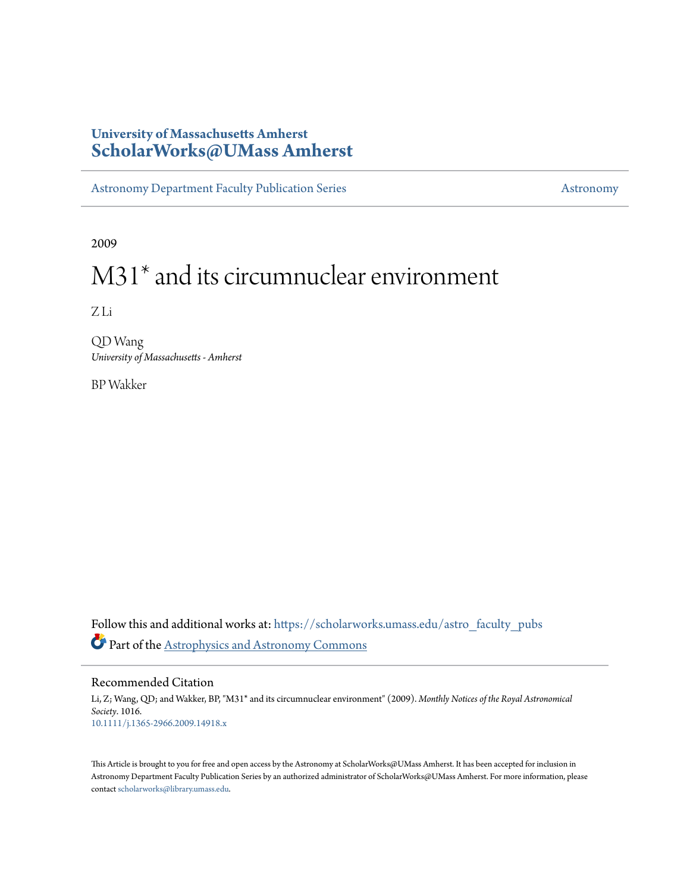# **University of Massachusetts Amherst [ScholarWorks@UMass Amherst](https://scholarworks.umass.edu?utm_source=scholarworks.umass.edu%2Fastro_faculty_pubs%2F1016&utm_medium=PDF&utm_campaign=PDFCoverPages)**

[Astronomy Department Faculty Publication Series](https://scholarworks.umass.edu/astro_faculty_pubs?utm_source=scholarworks.umass.edu%2Fastro_faculty_pubs%2F1016&utm_medium=PDF&utm_campaign=PDFCoverPages) [Astronomy](https://scholarworks.umass.edu/astro?utm_source=scholarworks.umass.edu%2Fastro_faculty_pubs%2F1016&utm_medium=PDF&utm_campaign=PDFCoverPages)

2009

# M31\* and its circumnuclear environment

Z Li

QD Wang *University of Massachusetts - Amherst*

BP Wakker

Follow this and additional works at: [https://scholarworks.umass.edu/astro\\_faculty\\_pubs](https://scholarworks.umass.edu/astro_faculty_pubs?utm_source=scholarworks.umass.edu%2Fastro_faculty_pubs%2F1016&utm_medium=PDF&utm_campaign=PDFCoverPages) Part of the [Astrophysics and Astronomy Commons](http://network.bepress.com/hgg/discipline/123?utm_source=scholarworks.umass.edu%2Fastro_faculty_pubs%2F1016&utm_medium=PDF&utm_campaign=PDFCoverPages)

Recommended Citation

Li, Z; Wang, QD; and Wakker, BP, "M31\* and its circumnuclear environment" (2009). *Monthly Notices of the Royal Astronomical Society*. 1016. <10.1111/j.1365-2966.2009.14918.x>

This Article is brought to you for free and open access by the Astronomy at ScholarWorks@UMass Amherst. It has been accepted for inclusion in Astronomy Department Faculty Publication Series by an authorized administrator of ScholarWorks@UMass Amherst. For more information, please contact [scholarworks@library.umass.edu](mailto:scholarworks@library.umass.edu).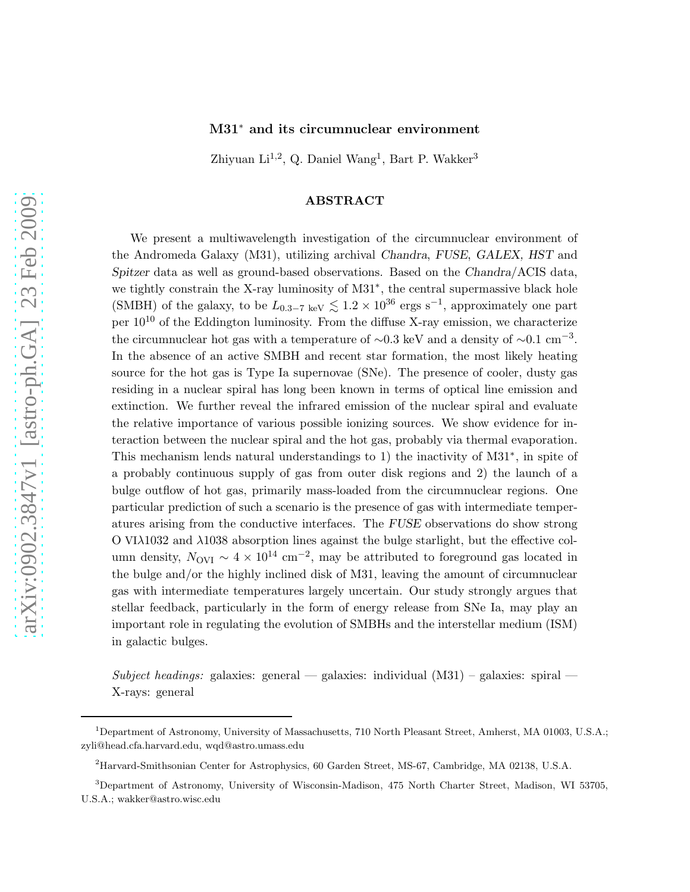# M31<sup>∗</sup> and its circumnuclear environment

Zhiyuan Li<sup>1,2</sup>, Q. Daniel Wang<sup>1</sup>, Bart P. Wakker<sup>3</sup>

# ABSTRACT

We present a multiwavelength investigation of the circumnuclear environment of the Andromeda Galaxy (M31), utilizing archival Chandra, FUSE, GALEX, HST and Spitzer data as well as ground-based observations. Based on the Chandra/ACIS data, we tightly constrain the X-ray luminosity of M31<sup>∗</sup> , the central supermassive black hole (SMBH) of the galaxy, to be  $L_{0.3-7 \text{ keV}} \lesssim 1.2 \times 10^{36} \text{ ergs s}^{-1}$ , approximately one part per  $10^{10}$  of the Eddington luminosity. From the diffuse X-ray emission, we characterize the circumnuclear hot gas with a temperature of  $\sim 0.3$  keV and a density of  $\sim 0.1$  cm<sup>-3</sup>. In the absence of an active SMBH and recent star formation, the most likely heating source for the hot gas is Type Ia supernovae (SNe). The presence of cooler, dusty gas residing in a nuclear spiral has long been known in terms of optical line emission and extinction. We further reveal the infrared emission of the nuclear spiral and evaluate the relative importance of various possible ionizing sources. We show evidence for interaction between the nuclear spiral and the hot gas, probably via thermal evaporation. This mechanism lends natural understandings to 1) the inactivity of M31<sup>∗</sup> , in spite of a probably continuous supply of gas from outer disk regions and 2) the launch of a bulge outflow of hot gas, primarily mass-loaded from the circumnuclear regions. One particular prediction of such a scenario is the presence of gas with intermediate temperatures arising from the conductive interfaces. The FUSE observations do show strong O VIλ1032 and λ1038 absorption lines against the bulge starlight, but the effective column density,  $N_{\rm OVI} \sim 4 \times 10^{14}$  cm<sup>-2</sup>, may be attributed to foreground gas located in the bulge and/or the highly inclined disk of M31, leaving the amount of circumnuclear gas with intermediate temperatures largely uncertain. Our study strongly argues that stellar feedback, particularly in the form of energy release from SNe Ia, may play an important role in regulating the evolution of SMBHs and the interstellar medium (ISM) in galactic bulges.

Subject headings: galaxies: general — galaxies: individual  $(M31)$  – galaxies: spiral — X-rays: general

<sup>1</sup>Department of Astronomy, University of Massachusetts, 710 North Pleasant Street, Amherst, MA 01003, U.S.A.; zyli@head.cfa.harvard.edu, wqd@astro.umass.edu

<sup>2</sup>Harvard-Smithsonian Center for Astrophysics, 60 Garden Street, MS-67, Cambridge, MA 02138, U.S.A.

<sup>3</sup>Department of Astronomy, University of Wisconsin-Madison, 475 North Charter Street, Madison, WI 53705, U.S.A.; wakker@astro.wisc.edu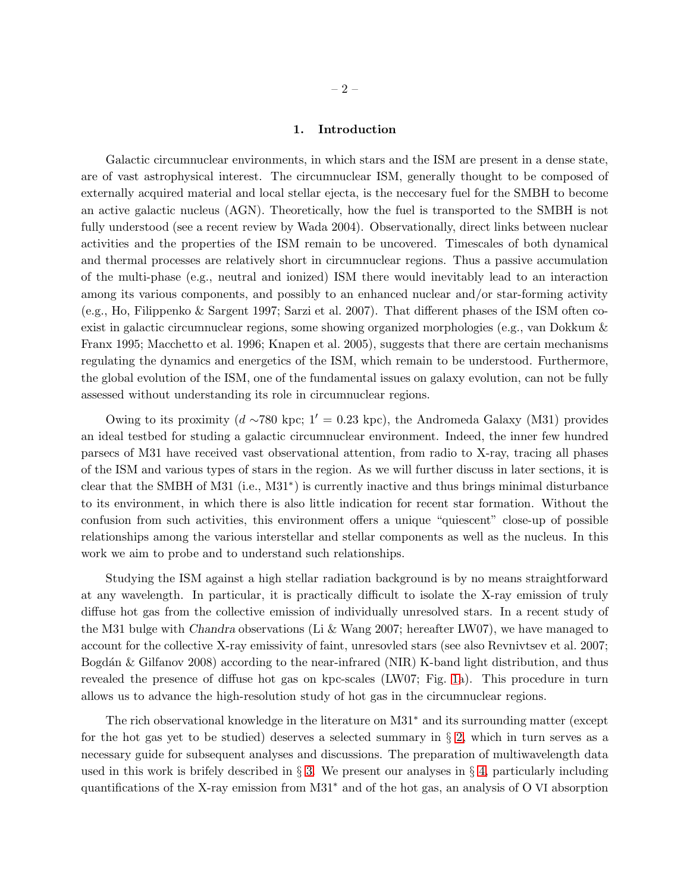Galactic circumnuclear environments, in which stars and the ISM are present in a dense state, are of vast astrophysical interest. The circumnuclear ISM, generally thought to be composed of externally acquired material and local stellar ejecta, is the neccesary fuel for the SMBH to become an active galactic nucleus (AGN). Theoretically, how the fuel is transported to the SMBH is not fully understood (see a recent review by Wada 2004). Observationally, direct links between nuclear activities and the properties of the ISM remain to be uncovered. Timescales of both dynamical and thermal processes are relatively short in circumnuclear regions. Thus a passive accumulation of the multi-phase (e.g., neutral and ionized) ISM there would inevitably lead to an interaction among its various components, and possibly to an enhanced nuclear and/or star-forming activity (e.g., Ho, Filippenko & Sargent 1997; Sarzi et al. 2007). That different phases of the ISM often coexist in galactic circumnuclear regions, some showing organized morphologies (e.g., van Dokkum & Franx 1995; Macchetto et al. 1996; Knapen et al. 2005), suggests that there are certain mechanisms regulating the dynamics and energetics of the ISM, which remain to be understood. Furthermore, the global evolution of the ISM, one of the fundamental issues on galaxy evolution, can not be fully assessed without understanding its role in circumnuclear regions.

Owing to its proximity (d ~780 kpc; 1′ = 0.23 kpc), the Andromeda Galaxy (M31) provides an ideal testbed for studing a galactic circumnuclear environment. Indeed, the inner few hundred parsecs of M31 have received vast observational attention, from radio to X-ray, tracing all phases of the ISM and various types of stars in the region. As we will further discuss in later sections, it is clear that the SMBH of M31 (i.e., M31<sup>∗</sup> ) is currently inactive and thus brings minimal disturbance to its environment, in which there is also little indication for recent star formation. Without the confusion from such activities, this environment offers a unique "quiescent" close-up of possible relationships among the various interstellar and stellar components as well as the nucleus. In this work we aim to probe and to understand such relationships.

Studying the ISM against a high stellar radiation background is by no means straightforward at any wavelength. In particular, it is practically difficult to isolate the X-ray emission of truly diffuse hot gas from the collective emission of individually unresolved stars. In a recent study of the M31 bulge with Chandra observations (Li & Wang 2007; hereafter LW07), we have managed to account for the collective X-ray emissivity of faint, unresovled stars (see also Revnivtsev et al. 2007; Bogdán & Gilfanov 2008) according to the near-infrared (NIR) K-band light distribution, and thus revealed the presence of diffuse hot gas on kpc-scales (LW07; Fig. [1a](#page-6-0)). This procedure in turn allows us to advance the high-resolution study of hot gas in the circumnuclear regions.

The rich observational knowledge in the literature on M31<sup>∗</sup> and its surrounding matter (except for the hot gas yet to be studied) deserves a selected summary in § [2,](#page-3-0) which in turn serves as a necessary guide for subsequent analyses and discussions. The preparation of multiwavelength data used in this work is brifely described in  $\S 3$ . We present our analyses in  $\S 4$ , particularly including quantifications of the X-ray emission from M31<sup>∗</sup> and of the hot gas, an analysis of O VI absorption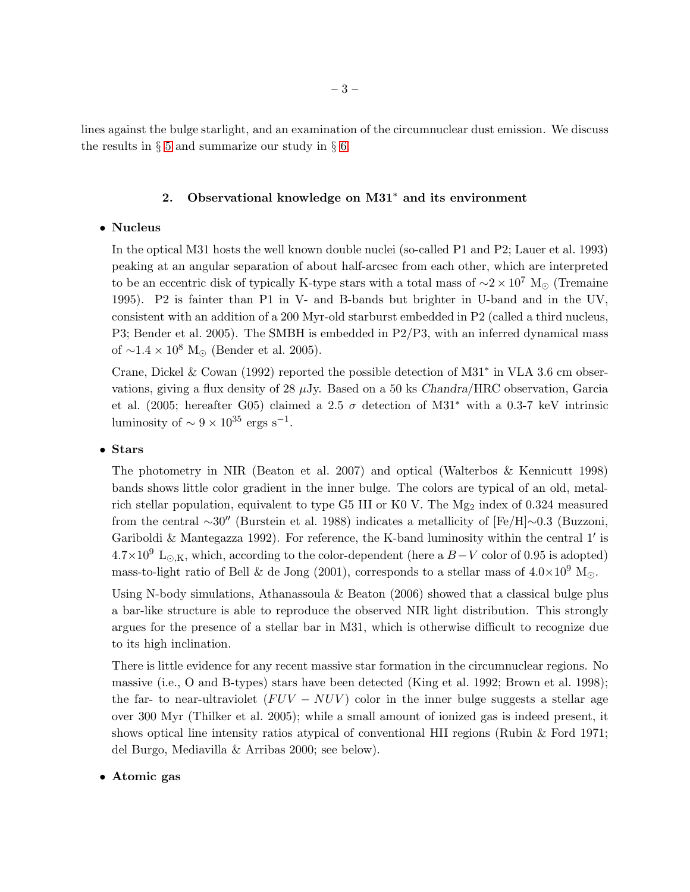<span id="page-3-0"></span>lines against the bulge starlight, and an examination of the circumnuclear dust emission. We discuss the results in  $\S$  [5](#page-20-0) and summarize our study in  $\S$  [6.](#page-28-0)

# 2. Observational knowledge on M31<sup>∗</sup> and its environment

# • Nucleus

In the optical M31 hosts the well known double nuclei (so-called P1 and P2; Lauer et al. 1993) peaking at an angular separation of about half-arcsec from each other, which are interpreted to be an eccentric disk of typically K-type stars with a total mass of  $\sim$ 2 × 10<sup>7</sup> M<sub>☉</sub> (Tremaine 1995). P2 is fainter than P1 in V- and B-bands but brighter in U-band and in the UV, consistent with an addition of a 200 Myr-old starburst embedded in P2 (called a third nucleus, P3; Bender et al. 2005). The SMBH is embedded in P2/P3, with an inferred dynamical mass of  $\sim$ 1.4 × 10<sup>8</sup> M<sub>☉</sub> (Bender et al. 2005).

Crane, Dickel & Cowan (1992) reported the possible detection of M31<sup>∗</sup> in VLA 3.6 cm observations, giving a flux density of 28  $\mu$ Jy. Based on a 50 ks Chandra/HRC observation, Garcia et al. (2005; hereafter G05) claimed a 2.5  $\sigma$  detection of M31<sup>\*</sup> with a 0.3-7 keV intrinsic luminosity of  $\sim 9 \times 10^{35}$  ergs s<sup>-1</sup>.

# • Stars

The photometry in NIR (Beaton et al. 2007) and optical (Walterbos & Kennicutt 1998) bands shows little color gradient in the inner bulge. The colors are typical of an old, metalrich stellar population, equivalent to type G5 III or K0 V. The  $Mg_2$  index of 0.324 measured from the central ∼30′′ (Burstein et al. 1988) indicates a metallicity of [Fe/H]∼0.3 (Buzzoni, Gariboldi & Mantegazza 1992). For reference, the K-band luminosity within the central 1' is  $4.7\times10^9$  L<sub>⊙,K</sub>, which, according to the color-dependent (here a B – V color of 0.95 is adopted) mass-to-light ratio of Bell & de Jong (2001), corresponds to a stellar mass of  $4.0\times10^9$  M<sub>⊙</sub>.

Using N-body simulations, Athanassoula  $&$  Beaton (2006) showed that a classical bulge plus a bar-like structure is able to reproduce the observed NIR light distribution. This strongly argues for the presence of a stellar bar in M31, which is otherwise difficult to recognize due to its high inclination.

There is little evidence for any recent massive star formation in the circumnuclear regions. No massive (i.e., O and B-types) stars have been detected (King et al. 1992; Brown et al. 1998); the far- to near-ultraviolet  $(FUV - NUV)$  color in the inner bulge suggests a stellar age over 300 Myr (Thilker et al. 2005); while a small amount of ionized gas is indeed present, it shows optical line intensity ratios atypical of conventional HII regions (Rubin & Ford 1971; del Burgo, Mediavilla & Arribas 2000; see below).

# • Atomic gas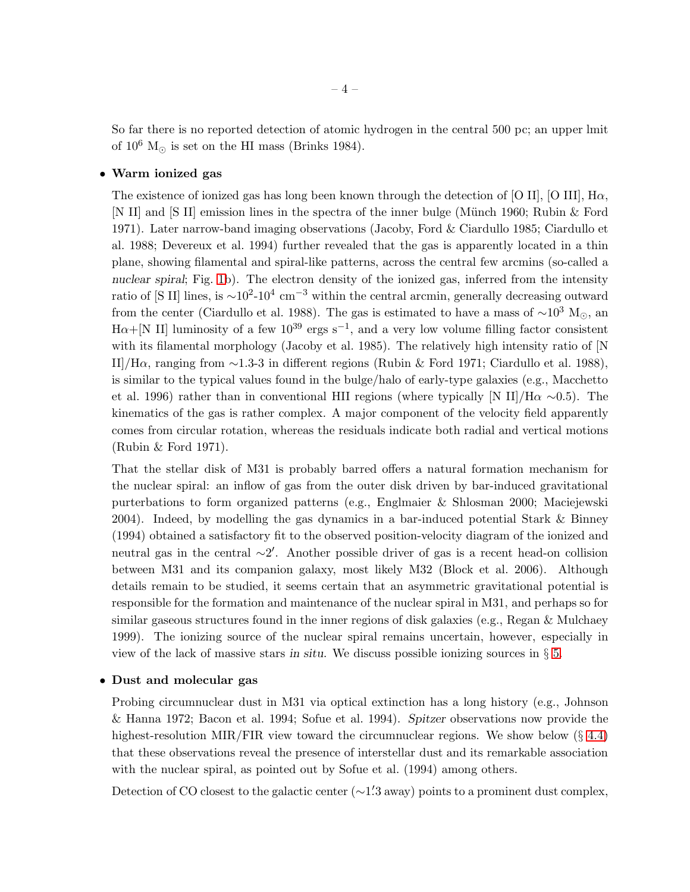So far there is no reported detection of atomic hydrogen in the central 500 pc; an upper lmit of  $10^6$  M<sub>☉</sub> is set on the HI mass (Brinks 1984).

# • Warm ionized gas

The existence of ionized gas has long been known through the detection of [O II], [O III],  $\text{H}\alpha$ , [N II] and [S II] emission lines in the spectra of the inner bulge (Münch 1960; Rubin & Ford 1971). Later narrow-band imaging observations (Jacoby, Ford & Ciardullo 1985; Ciardullo et al. 1988; Devereux et al. 1994) further revealed that the gas is apparently located in a thin plane, showing filamental and spiral-like patterns, across the central few arcmins (so-called a nuclear spiral; Fig. [1b](#page-6-0)). The electron density of the ionized gas, inferred from the intensity ratio of [S II] lines, is  $\sim$ 10<sup>2</sup>-10<sup>4</sup> cm<sup>-3</sup> within the central arcmin, generally decreasing outward from the center (Ciardullo et al. 1988). The gas is estimated to have a mass of  $\sim 10^3$  M<sub>☉</sub>, an  $H\alpha+[N II]$  luminosity of a few  $10^{39}$  ergs s<sup>-1</sup>, and a very low volume filling factor consistent with its filamental morphology (Jacoby et al. 1985). The relatively high intensity ratio of [N II]/Hα, ranging from ∼1.3-3 in different regions (Rubin & Ford 1971; Ciardullo et al. 1988), is similar to the typical values found in the bulge/halo of early-type galaxies (e.g., Macchetto et al. 1996) rather than in conventional HII regions (where typically [N II]/H $\alpha \sim 0.5$ ). The kinematics of the gas is rather complex. A major component of the velocity field apparently comes from circular rotation, whereas the residuals indicate both radial and vertical motions (Rubin & Ford 1971).

That the stellar disk of M31 is probably barred offers a natural formation mechanism for the nuclear spiral: an inflow of gas from the outer disk driven by bar-induced gravitational purterbations to form organized patterns (e.g., Englmaier & Shlosman 2000; Maciejewski 2004). Indeed, by modelling the gas dynamics in a bar-induced potential Stark & Binney (1994) obtained a satisfactory fit to the observed position-velocity diagram of the ionized and neutral gas in the central ∼2 ′ . Another possible driver of gas is a recent head-on collision between M31 and its companion galaxy, most likely M32 (Block et al. 2006). Although details remain to be studied, it seems certain that an asymmetric gravitational potential is responsible for the formation and maintenance of the nuclear spiral in M31, and perhaps so for similar gaseous structures found in the inner regions of disk galaxies (e.g., Regan & Mulchaey 1999). The ionizing source of the nuclear spiral remains uncertain, however, especially in view of the lack of massive stars in situ. We discuss possible ionizing sources in  $\S 5$ .

#### • Dust and molecular gas

Probing circumnuclear dust in M31 via optical extinction has a long history (e.g., Johnson & Hanna 1972; Bacon et al. 1994; Sofue et al. 1994). Spitzer observations now provide the highest-resolution MIR/FIR view toward the circumnuclear regions. We show below  $(\S 4.4)$  $(\S 4.4)$ that these observations reveal the presence of interstellar dust and its remarkable association with the nuclear spiral, as pointed out by Sofue et al. (1994) among others.

Detection of CO closest to the galactic center (~1'.3 away) points to a prominent dust complex,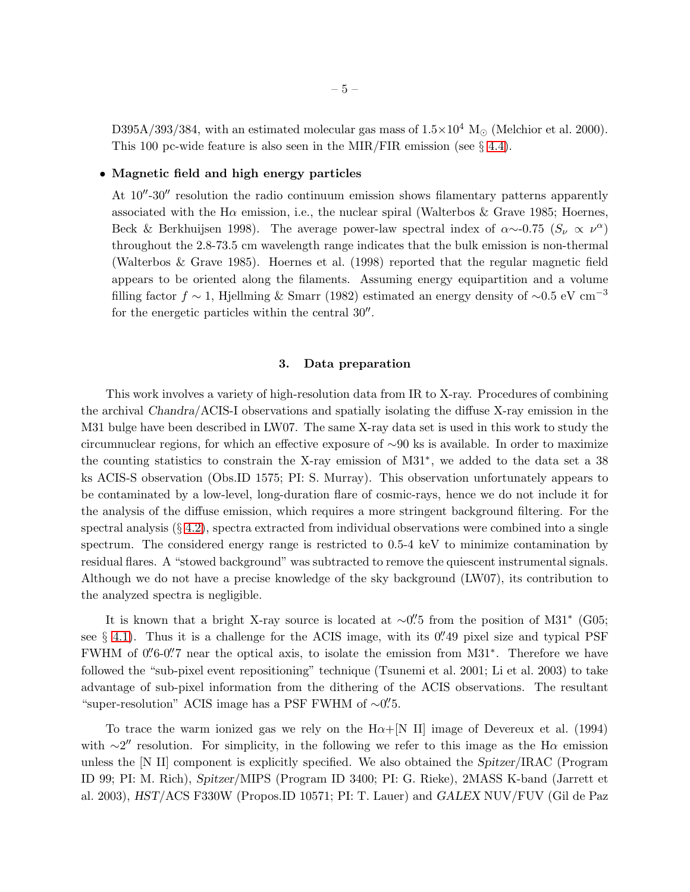D395A/393/384, with an estimated molecular gas mass of  $1.5\times10^4$  M<sub>☉</sub> (Melchior et al. 2000). This 100 pc-wide feature is also seen in the MIR/FIR emission (see § [4.4\)](#page-14-0).

# • Magnetic field and high energy particles

At  $10''-30''$  resolution the radio continuum emission shows filamentary patterns apparently associated with the H $\alpha$  emission, i.e., the nuclear spiral (Walterbos & Grave 1985; Hoernes, Beck & Berkhuijsen 1998). The average power-law spectral index of  $\alpha \sim 0.75$  ( $S_{\nu} \propto \nu^{\alpha}$ ) throughout the 2.8-73.5 cm wavelength range indicates that the bulk emission is non-thermal (Walterbos & Grave 1985). Hoernes et al. (1998) reported that the regular magnetic field appears to be oriented along the filaments. Assuming energy equipartition and a volume filling factor  $f \sim 1$ , Hjellming & Smarr (1982) estimated an energy density of ~0.5 eV cm<sup>-3</sup> for the energetic particles within the central  $30''$ .

#### 3. Data preparation

<span id="page-5-0"></span>This work involves a variety of high-resolution data from IR to X-ray. Procedures of combining the archival Chandra/ACIS-I observations and spatially isolating the diffuse X-ray emission in the M31 bulge have been described in LW07. The same X-ray data set is used in this work to study the circumnuclear regions, for which an effective exposure of ∼90 ks is available. In order to maximize the counting statistics to constrain the X-ray emission of M31<sup>∗</sup> , we added to the data set a 38 ks ACIS-S observation (Obs.ID 1575; PI: S. Murray). This observation unfortunately appears to be contaminated by a low-level, long-duration flare of cosmic-rays, hence we do not include it for the analysis of the diffuse emission, which requires a more stringent background filtering. For the spectral analysis  $(\S 4.2)$  $(\S 4.2)$ , spectra extracted from individual observations were combined into a single spectrum. The considered energy range is restricted to 0.5-4 keV to minimize contamination by residual flares. A "stowed background" was subtracted to remove the quiescent instrumental signals. Although we do not have a precise knowledge of the sky background (LW07), its contribution to the analyzed spectra is negligible.

It is known that a bright X-ray source is located at ~0".<sup>7</sup>5 from the position of M31<sup>∗</sup> (G05; see  $\S$  [4.1\)](#page-7-1). Thus it is a challenge for the ACIS image, with its 0. 49 pixel size and typical PSF FWHM of 0"6-0". Therefore the optical axis, to isolate the emission from M31<sup>\*</sup>. Therefore we have followed the "sub-pixel event repositioning" technique (Tsunemi et al. 2001; Li et al. 2003) to take advantage of sub-pixel information from the dithering of the ACIS observations. The resultant "super-resolution" ACIS image has a PSF FWHM of  $\sim$ 0".5.

To trace the warm ionized gas we rely on the  $H\alpha + [N \text{ II}]$  image of Devereux et al. (1994) with  $\sim$ 2" resolution. For simplicity, in the following we refer to this image as the H $\alpha$  emission unless the [N II] component is explicitly specified. We also obtained the Spitzer/IRAC (Program ID 99; PI: M. Rich), Spitzer/MIPS (Program ID 3400; PI: G. Rieke), 2MASS K-band (Jarrett et al. 2003), HST/ACS F330W (Propos.ID 10571; PI: T. Lauer) and GALEX NUV/FUV (Gil de Paz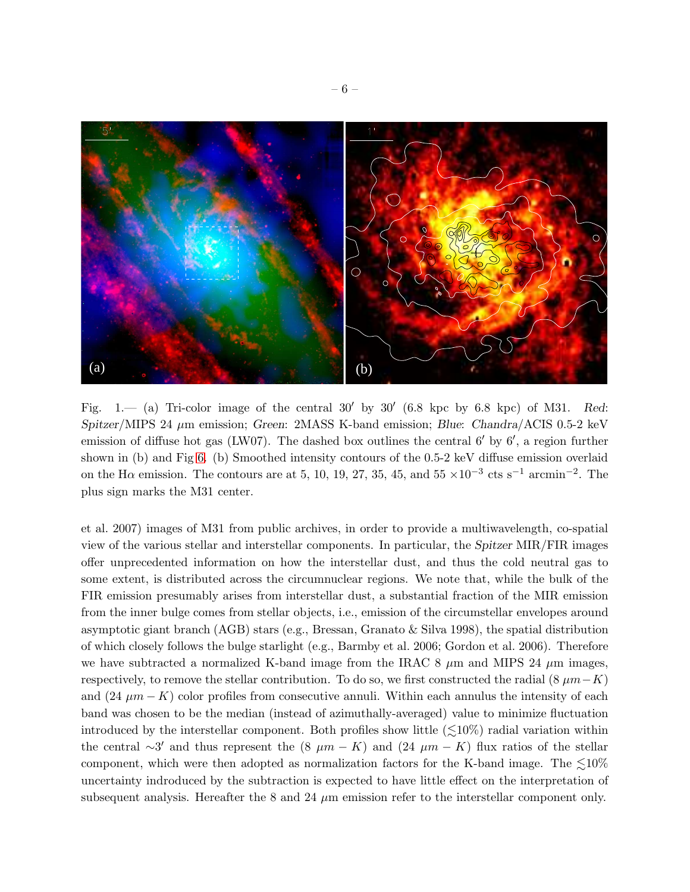

<span id="page-6-0"></span>Fig.  $1$ — (a) Tri-color image of the central 30' by 30' (6.8 kpc by 6.8 kpc) of M31. Red: Spitzer/MIPS 24  $\mu$ m emission; Green: 2MASS K-band emission; Blue: Chandra/ACIS 0.5-2 keV emission of diffuse hot gas (LW07). The dashed box outlines the central 6' by 6', a region further shown in (b) and Fig [6.](#page-16-0) (b) Smoothed intensity contours of the 0.5-2 keV diffuse emission overlaid on the H $\alpha$  emission. The contours are at 5, 10, 19, 27, 35, 45, and 55  $\times 10^{-3}$  cts s<sup>-1</sup> arcmin<sup>-2</sup>. The plus sign marks the M31 center.

et al. 2007) images of M31 from public archives, in order to provide a multiwavelength, co-spatial view of the various stellar and interstellar components. In particular, the Spitzer MIR/FIR images offer unprecedented information on how the interstellar dust, and thus the cold neutral gas to some extent, is distributed across the circumnuclear regions. We note that, while the bulk of the FIR emission presumably arises from interstellar dust, a substantial fraction of the MIR emission from the inner bulge comes from stellar objects, i.e., emission of the circumstellar envelopes around asymptotic giant branch (AGB) stars (e.g., Bressan, Granato & Silva 1998), the spatial distribution of which closely follows the bulge starlight (e.g., Barmby et al. 2006; Gordon et al. 2006). Therefore we have subtracted a normalized K-band image from the IRAC 8  $\mu$ m and MIPS 24  $\mu$ m images, respectively, to remove the stellar contribution. To do so, we first constructed the radial (8  $\mu m-K$ ) and  $(24 \mu m - K)$  color profiles from consecutive annuli. Within each annulus the intensity of each band was chosen to be the median (instead of azimuthally-averaged) value to minimize fluctuation introduced by the interstellar component. Both profiles show little  $(\leq 10\%)$  radial variation within the central  $\sim$ 3' and thus represent the (8  $\mu$ m − K) and (24  $\mu$ m − K) flux ratios of the stellar component, which were then adopted as normalization factors for the K-band image. The  $\leq 10\%$ uncertainty indroduced by the subtraction is expected to have little effect on the interpretation of subsequent analysis. Hereafter the 8 and 24  $\mu$ m emission refer to the interstellar component only.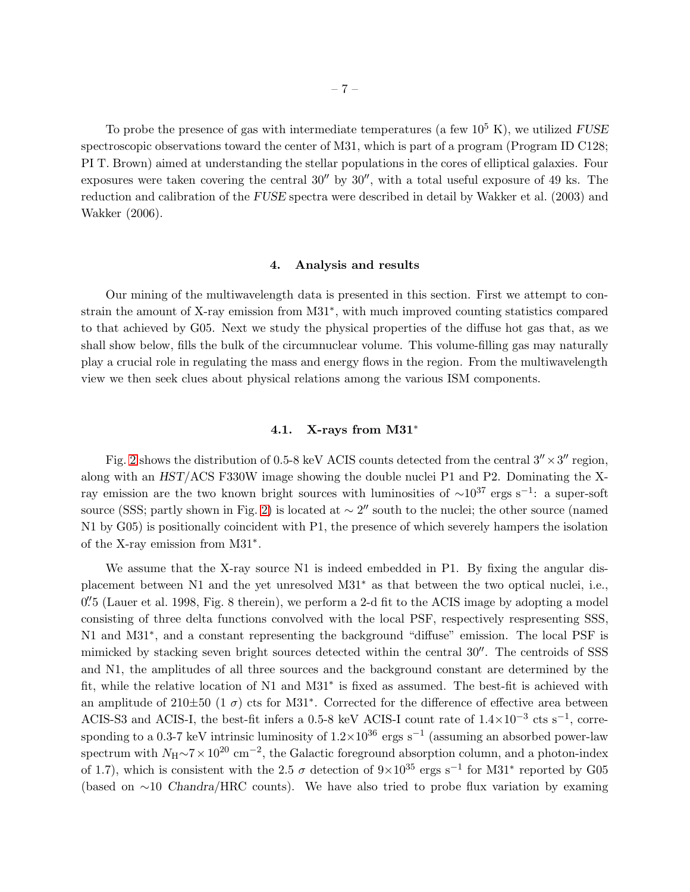To probe the presence of gas with intermediate temperatures (a few  $10^5$  K), we utilized FUSE spectroscopic observations toward the center of M31, which is part of a program (Program ID C128; PI T. Brown) aimed at understanding the stellar populations in the cores of elliptical galaxies. Four exposures were taken covering the central  $30''$  by  $30''$ , with a total useful exposure of 49 ks. The reduction and calibration of the FUSE spectra were described in detail by Wakker et al. (2003) and Wakker (2006).

## 4. Analysis and results

<span id="page-7-0"></span>Our mining of the multiwavelength data is presented in this section. First we attempt to constrain the amount of X-ray emission from M31<sup>∗</sup> , with much improved counting statistics compared to that achieved by G05. Next we study the physical properties of the diffuse hot gas that, as we shall show below, fills the bulk of the circumnuclear volume. This volume-filling gas may naturally play a crucial role in regulating the mass and energy flows in the region. From the multiwavelength view we then seek clues about physical relations among the various ISM components.

# 4.1. X-rays from M31<sup>∗</sup>

<span id="page-7-1"></span>Fig. [2](#page-8-0) shows the distribution of 0.5-8 keV ACIS counts detected from the central  $3'' \times 3''$  region, along with an HST/ACS F330W image showing the double nuclei P1 and P2. Dominating the Xray emission are the two known bright sources with luminosities of  $\sim 10^{37}$  ergs s<sup>-1</sup>: a super-soft source (SSS; partly shown in Fig. [2\)](#page-8-0) is located at  $\sim 2''$  south to the nuclei; the other source (named N1 by G05) is positionally coincident with P1, the presence of which severely hampers the isolation of the X-ray emission from M31<sup>∗</sup> .

We assume that the X-ray source N1 is indeed embedded in P1. By fixing the angular displacement between N1 and the yet unresolved M31<sup>∗</sup> as that between the two optical nuclei, i.e., 0''<sub>5</sub> (Lauer et al. 1998, Fig. 8 therein), we perform a 2-d fit to the ACIS image by adopting a model consisting of three delta functions convolved with the local PSF, respectively respresenting SSS, N1 and M31<sup>∗</sup>, and a constant representing the background "diffuse" emission. The local PSF is mimicked by stacking seven bright sources detected within the central 30′′. The centroids of SSS and N1, the amplitudes of all three sources and the background constant are determined by the fit, while the relative location of N1 and M31<sup>∗</sup> is fixed as assumed. The best-fit is achieved with an amplitude of 210 $\pm$ 50 (1  $\sigma$ ) cts for M31<sup>\*</sup>. Corrected for the difference of effective area between ACIS-S3 and ACIS-I, the best-fit infers a 0.5-8 keV ACIS-I count rate of  $1.4\times10^{-3}$  cts s<sup>-1</sup>, corresponding to a 0.3-7 keV intrinsic luminosity of  $1.2 \times 10^{36}$  ergs s<sup>-1</sup> (assuming an absorbed power-law spectrum with  $N_H \sim 7 \times 10^{20}$  cm<sup>-2</sup>, the Galactic foreground absorption column, and a photon-index of 1.7), which is consistent with the 2.5  $\sigma$  detection of  $9\times10^{35}$  ergs s<sup>-1</sup> for M31<sup>\*</sup> reported by G05 (based on ∼10 Chandra/HRC counts). We have also tried to probe flux variation by examing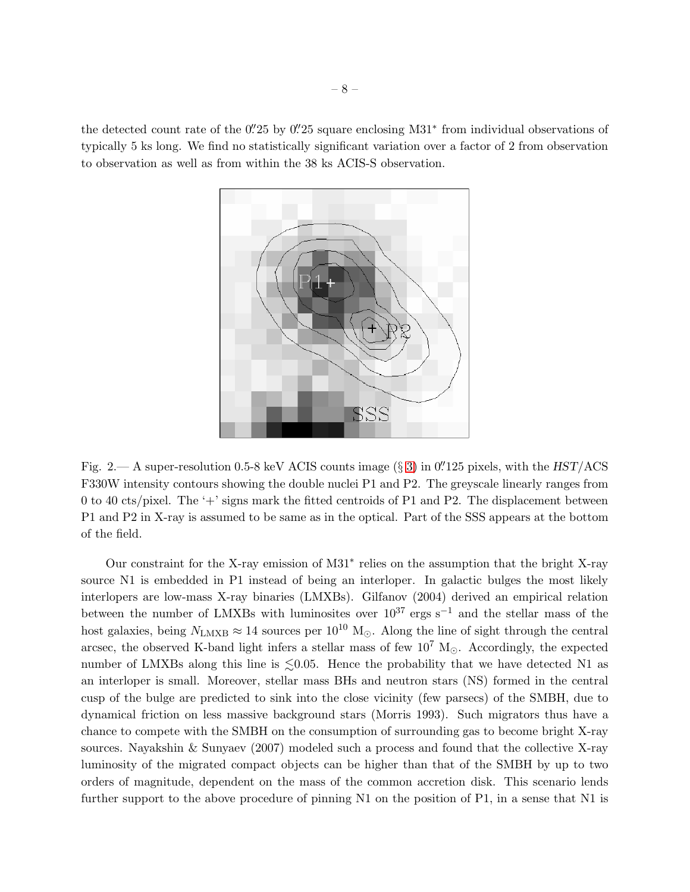the detected count rate of the 0". 25 by 0" 25 square enclosing M31<sup>\*</sup> from individual observations of typically 5 ks long. We find no statistically significant variation over a factor of 2 from observation to observation as well as from within the 38 ks ACIS-S observation.



<span id="page-8-0"></span>Fig. 2.— A super-resolution 0.5-8 keV ACIS counts image  $(\S 3)$  $(\S 3)$  in 0. 125 pixels, with the HST/ACS F330W intensity contours showing the double nuclei P1 and P2. The greyscale linearly ranges from 0 to 40 cts/pixel. The '+' signs mark the fitted centroids of P1 and P2. The displacement between P1 and P2 in X-ray is assumed to be same as in the optical. Part of the SSS appears at the bottom of the field.

Our constraint for the X-ray emission of M31<sup>∗</sup> relies on the assumption that the bright X-ray source N1 is embedded in P1 instead of being an interloper. In galactic bulges the most likely interlopers are low-mass X-ray binaries (LMXBs). Gilfanov (2004) derived an empirical relation between the number of LMXBs with luminosites over  $10^{37}$  ergs s<sup>-1</sup> and the stellar mass of the host galaxies, being  $N_{\rm LMXB} \approx 14$  sources per  $10^{10}$  M<sub>☉</sub>. Along the line of sight through the central arcsec, the observed K-band light infers a stellar mass of few  $10^7$  M<sub> $\odot$ </sub>. Accordingly, the expected number of LMXBs along this line is  $\leq 0.05$ . Hence the probability that we have detected N1 as an interloper is small. Moreover, stellar mass BHs and neutron stars (NS) formed in the central cusp of the bulge are predicted to sink into the close vicinity (few parsecs) of the SMBH, due to dynamical friction on less massive background stars (Morris 1993). Such migrators thus have a chance to compete with the SMBH on the consumption of surrounding gas to become bright X-ray sources. Nayakshin & Sunyaev (2007) modeled such a process and found that the collective X-ray luminosity of the migrated compact objects can be higher than that of the SMBH by up to two orders of magnitude, dependent on the mass of the common accretion disk. This scenario lends further support to the above procedure of pinning N1 on the position of P1, in a sense that N1 is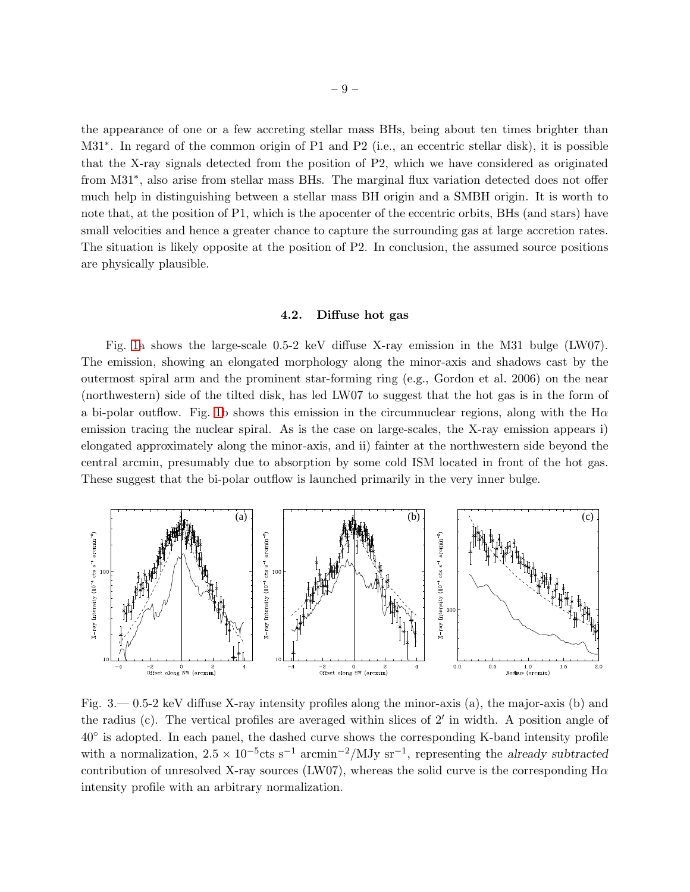the appearance of one or a few accreting stellar mass BHs, being about ten times brighter than M31<sup>∗</sup>. In regard of the common origin of P1 and P2 (i.e., an eccentric stellar disk), it is possible that the X-ray signals detected from the position of P2, which we have considered as originated from M31<sup>\*</sup>, also arise from stellar mass BHs. The marginal flux variation detected does not offer much help in distinguishing between a stellar mass BH origin and a SMBH origin. It is worth to note that, at the position of P1, which is the apocenter of the eccentric orbits, BHs (and stars) have small velocities and hence a greater chance to capture the surrounding gas at large accretion rates. The situation is likely opposite at the position of P2. In conclusion, the assumed source positions are physically plausible.

#### 4.2. Diffuse hot gas

<span id="page-9-0"></span>Fig. [1a](#page-6-0) shows the large-scale 0.5-2 keV diffuse X-ray emission in the M31 bulge (LW07). The emission, showing an elongated morphology along the minor-axis and shadows cast by the outermost spiral arm and the prominent star-forming ring (e.g., Gordon et al. 2006) on the near (northwestern) side of the tilted disk, has led LW07 to suggest that the hot gas is in the form of a bi-polar outflow. Fig. [1b](#page-6-0) shows this emission in the circumnuclear regions, along with the  $H\alpha$ emission tracing the nuclear spiral. As is the case on large-scales, the X-ray emission appears i) elongated approximately along the minor-axis, and ii) fainter at the northwestern side beyond the central arcmin, presumably due to absorption by some cold ISM located in front of the hot gas. These suggest that the bi-polar outflow is launched primarily in the very inner bulge.



<span id="page-9-1"></span>Fig. 3.— 0.5-2 keV diffuse X-ray intensity profiles along the minor-axis (a), the major-axis (b) and the radius (c). The vertical profiles are averaged within slices of 2′ in width. A position angle of 40◦ is adopted. In each panel, the dashed curve shows the corresponding K-band intensity profile with a normalization,  $2.5 \times 10^{-5}$ cts s<sup>-1</sup> arcmin<sup>-2</sup>/MJy sr<sup>-1</sup>, representing the already subtracted contribution of unresolved X-ray sources (LW07), whereas the solid curve is the corresponding  $H\alpha$ intensity profile with an arbitrary normalization.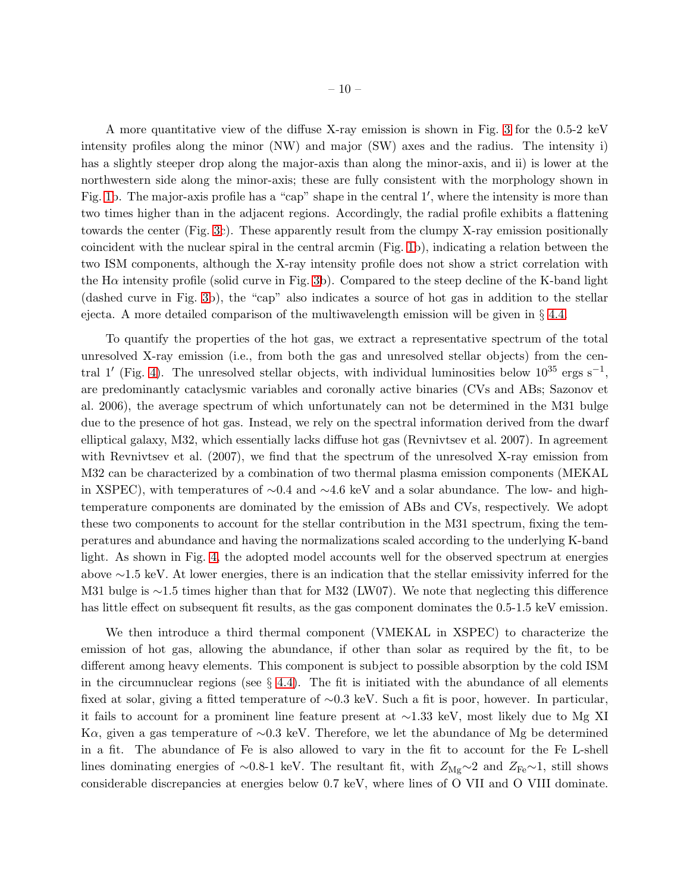A more quantitative view of the diffuse X-ray emission is shown in Fig. [3](#page-9-1) for the 0.5-2 keV intensity profiles along the minor (NW) and major (SW) axes and the radius. The intensity i) has a slightly steeper drop along the major-axis than along the minor-axis, and ii) is lower at the northwestern side along the minor-axis; these are fully consistent with the morphology shown in Fig. [1b](#page-6-0). The major-axis profile has a "cap" shape in the central 1', where the intensity is more than two times higher than in the adjacent regions. Accordingly, the radial profile exhibits a flattening towards the center (Fig. [3c](#page-9-1)). These apparently result from the clumpy X-ray emission positionally coincident with the nuclear spiral in the central arcmin (Fig. [1b](#page-6-0)), indicating a relation between the two ISM components, although the X-ray intensity profile does not show a strict correlation with the  $H\alpha$  intensity profile (solid curve in Fig. [3b](#page-9-1)). Compared to the steep decline of the K-band light (dashed curve in Fig. [3b](#page-9-1)), the "cap" also indicates a source of hot gas in addition to the stellar ejecta. A more detailed comparison of the multiwavelength emission will be given in § [4.4.](#page-14-0)

To quantify the properties of the hot gas, we extract a representative spectrum of the total unresolved X-ray emission (i.e., from both the gas and unresolved stellar objects) from the cen-tral 1' (Fig. [4\)](#page-11-0). The unresolved stellar objects, with individual luminosities below  $10^{35}$  ergs s<sup>-1</sup>, are predominantly cataclysmic variables and coronally active binaries (CVs and ABs; Sazonov et al. 2006), the average spectrum of which unfortunately can not be determined in the M31 bulge due to the presence of hot gas. Instead, we rely on the spectral information derived from the dwarf elliptical galaxy, M32, which essentially lacks diffuse hot gas (Revnivtsev et al. 2007). In agreement with Revnivtsev et al. (2007), we find that the spectrum of the unresolved X-ray emission from M32 can be characterized by a combination of two thermal plasma emission components (MEKAL in XSPEC), with temperatures of ∼0.4 and ∼4.6 keV and a solar abundance. The low- and hightemperature components are dominated by the emission of ABs and CVs, respectively. We adopt these two components to account for the stellar contribution in the M31 spectrum, fixing the temperatures and abundance and having the normalizations scaled according to the underlying K-band light. As shown in Fig. [4,](#page-11-0) the adopted model accounts well for the observed spectrum at energies above ∼1.5 keV. At lower energies, there is an indication that the stellar emissivity inferred for the M31 bulge is ∼1.5 times higher than that for M32 (LW07). We note that neglecting this difference has little effect on subsequent fit results, as the gas component dominates the 0.5-1.5 keV emission.

We then introduce a third thermal component (VMEKAL in XSPEC) to characterize the emission of hot gas, allowing the abundance, if other than solar as required by the fit, to be different among heavy elements. This component is subject to possible absorption by the cold ISM in the circumnuclear regions (see  $\S$  [4.4\)](#page-14-0). The fit is initiated with the abundance of all elements fixed at solar, giving a fitted temperature of ∼0.3 keV. Such a fit is poor, however. In particular, it fails to account for a prominent line feature present at ∼1.33 keV, most likely due to Mg XI Kα, given a gas temperature of ∼0.3 keV. Therefore, we let the abundance of Mg be determined in a fit. The abundance of Fe is also allowed to vary in the fit to account for the Fe L-shell lines dominating energies of ∼0.8-1 keV. The resultant fit, with  $Z_{\text{Mg}} \sim 2$  and  $Z_{\text{Fe}} \sim 1$ , still shows considerable discrepancies at energies below 0.7 keV, where lines of O VII and O VIII dominate.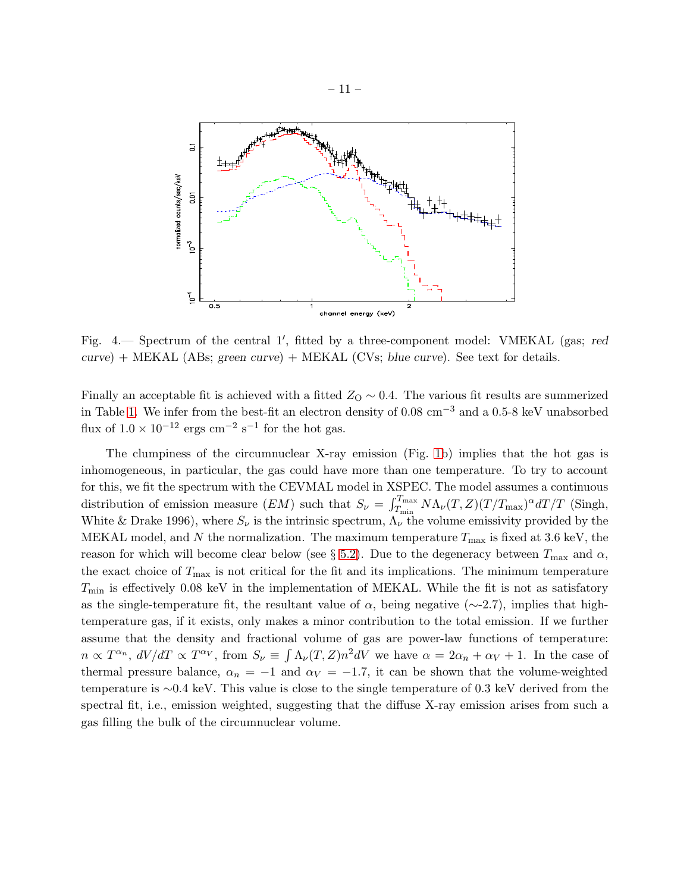

<span id="page-11-0"></span>Fig. 4. Spectrum of the central 1', fitted by a three-component model: VMEKAL (gas; red  $curve$ ) + MEKAL (ABs; green curve) + MEKAL (CVs; blue curve). See text for details.

Finally an acceptable fit is achieved with a fitted  $Z<sub>O</sub> \sim 0.4$ . The various fit results are summerized in Table [1.](#page-15-0) We infer from the best-fit an electron density of 0.08 cm−<sup>3</sup> and a 0.5-8 keV unabsorbed flux of  $1.0 \times 10^{-12}$  ergs cm<sup>-2</sup> s<sup>-1</sup> for the hot gas.

The clumpiness of the circumnuclear X-ray emission (Fig. [1b](#page-6-0)) implies that the hot gas is inhomogeneous, in particular, the gas could have more than one temperature. To try to account for this, we fit the spectrum with the CEVMAL model in XSPEC. The model assumes a continuous distribution of emission measure  $(EM)$  such that  $S_{\nu} = \int_{T_{\min}}^{T_{\max}} N \Lambda_{\nu}(T, Z) (T/T_{\max})^{\alpha} dT/T$  (Singh, White & Drake 1996), where  $S_{\nu}$  is the intrinsic spectrum,  $\Lambda_{\nu}$  the volume emissivity provided by the MEKAL model, and N the normalization. The maximum temperature  $T_{\text{max}}$  is fixed at 3.6 keV, the reason for which will become clear below (see § [5.2\)](#page-22-0). Due to the degeneracy between  $T_{\text{max}}$  and  $\alpha$ , the exact choice of  $T_{\text{max}}$  is not critical for the fit and its implications. The minimum temperature  $T_{\rm min}$  is effectively 0.08 keV in the implementation of MEKAL. While the fit is not as satisfatory as the single-temperature fit, the resultant value of  $\alpha$ , being negative (∼-2.7), implies that hightemperature gas, if it exists, only makes a minor contribution to the total emission. If we further assume that the density and fractional volume of gas are power-law functions of temperature:  $n \propto T^{\alpha_n}$ ,  $dV/dT \propto T^{\alpha_V}$ , from  $S_{\nu} \equiv \int \Lambda_{\nu}(T, Z) n^2 dV$  we have  $\alpha = 2\alpha_n + \alpha_V + 1$ . In the case of thermal pressure balance,  $\alpha_n = -1$  and  $\alpha_V = -1.7$ , it can be shown that the volume-weighted temperature is ∼0.4 keV. This value is close to the single temperature of 0.3 keV derived from the spectral fit, i.e., emission weighted, suggesting that the diffuse X-ray emission arises from such a gas filling the bulk of the circumnuclear volume.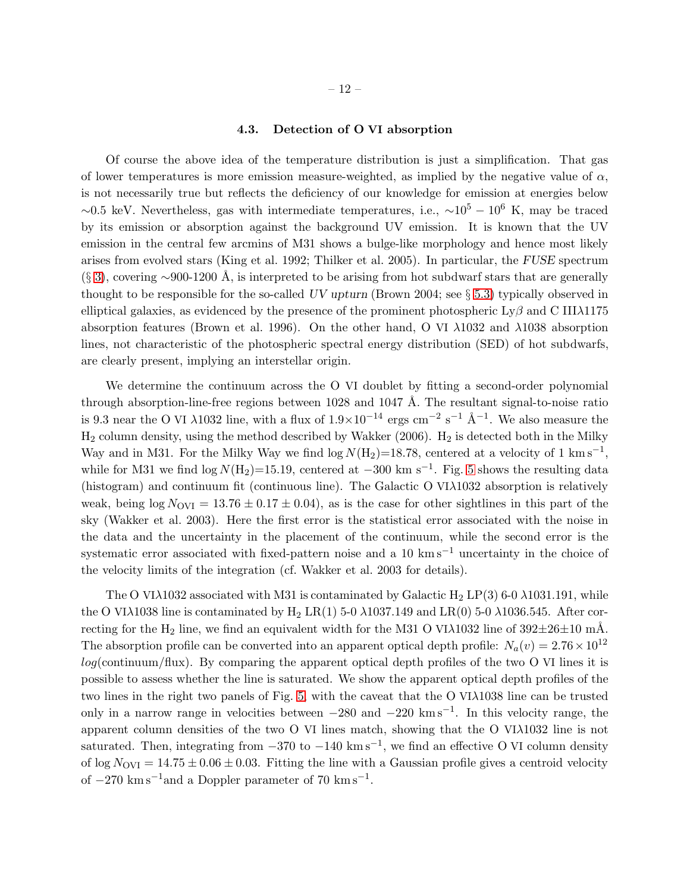# 4.3. Detection of O VI absorption

<span id="page-12-0"></span>Of course the above idea of the temperature distribution is just a simplification. That gas of lower temperatures is more emission measure-weighted, as implied by the negative value of  $\alpha$ , is not necessarily true but reflects the deficiency of our knowledge for emission at energies below  $~\sim 0.5$  keV. Nevertheless, gas with intermediate temperatures, i.e.,  $~\sim 10^5 - 10^6$  K, may be traced by its emission or absorption against the background UV emission. It is known that the UV emission in the central few arcmins of M31 shows a bulge-like morphology and hence most likely arises from evolved stars (King et al. 1992; Thilker et al. 2005). In particular, the FUSE spectrum  $(\S 3)$  $(\S 3)$ , covering ∼900-1200 Å, is interpreted to be arising from hot subdwarf stars that are generally thought to be responsible for the so-called UV upturn (Brown 2004; see § [5.3\)](#page-24-0) typically observed in elliptical galaxies, as evidenced by the presence of the prominent photospheric Ly $\beta$  and C III $\lambda$ 1175 absorption features (Brown et al. 1996). On the other hand, O VI λ1032 and λ1038 absorption lines, not characteristic of the photospheric spectral energy distribution (SED) of hot subdwarfs, are clearly present, implying an interstellar origin.

We determine the continuum across the O VI doublet by fitting a second-order polynomial through absorption-line-free regions between  $1028$  and  $1047 \text{ Å}$ . The resultant signal-to-noise ratio is 9.3 near the O VI  $\lambda$ 1032 line, with a flux of  $1.9\times10^{-14}$  ergs cm<sup>-2</sup> s<sup>-1</sup> Å<sup>-1</sup>. We also measure the  $H_2$  column density, using the method described by Wakker (2006).  $H_2$  is detected both in the Milky Way and in M31. For the Milky Way we find  $\log N(\text{H}_2) = 18.78$ , centered at a velocity of 1 km s<sup>-1</sup>, while for M31 we find  $\log N(\text{H}_2)$ =15.19, centered at -300 km s<sup>-1</sup>. Fig. [5](#page-13-0) shows the resulting data (histogram) and continuum fit (continuous line). The Galactic O VIλ1032 absorption is relatively weak, being  $\log N_{\rm OVI} = 13.76 \pm 0.17 \pm 0.04$ , as is the case for other sightlines in this part of the sky (Wakker et al. 2003). Here the first error is the statistical error associated with the noise in the data and the uncertainty in the placement of the continuum, while the second error is the systematic error associated with fixed-pattern noise and a 10 km s<sup>-1</sup> uncertainty in the choice of the velocity limits of the integration (cf. Wakker et al. 2003 for details).

The O VI $\lambda$ 1032 associated with M31 is contaminated by Galactic H<sub>2</sub> LP(3) 6-0  $\lambda$ 1031.191, while the O VI $\lambda$ 1038 line is contaminated by H<sub>2</sub> LR(1) 5-0  $\lambda$ 1037.149 and LR(0) 5-0  $\lambda$ 1036.545. After correcting for the H<sub>2</sub> line, we find an equivalent width for the M31 O VI $\lambda$ 1032 line of 392 $\pm$ 26 $\pm$ 10 mÅ. The absorption profile can be converted into an apparent optical depth profile:  $N_a(v) = 2.76 \times 10^{12}$  $log(\text{continuum}/\text{flux})$ . By comparing the apparent optical depth profiles of the two O VI lines it is possible to assess whether the line is saturated. We show the apparent optical depth profiles of the two lines in the right two panels of Fig. [5,](#page-13-0) with the caveat that the O VIλ1038 line can be trusted only in a narrow range in velocities between −280 and −220 km s−<sup>1</sup> . In this velocity range, the apparent column densities of the two O VI lines match, showing that the O VIλ1032 line is not saturated. Then, integrating from  $-370$  to  $-140 \text{ km s}^{-1}$ , we find an effective O VI column density of  $\log N_{\rm OVI} = 14.75 \pm 0.06 \pm 0.03$ . Fitting the line with a Gaussian profile gives a centroid velocity of  $-270 \text{ km s}^{-1}$  and a Doppler parameter of 70 km s<sup>-1</sup>.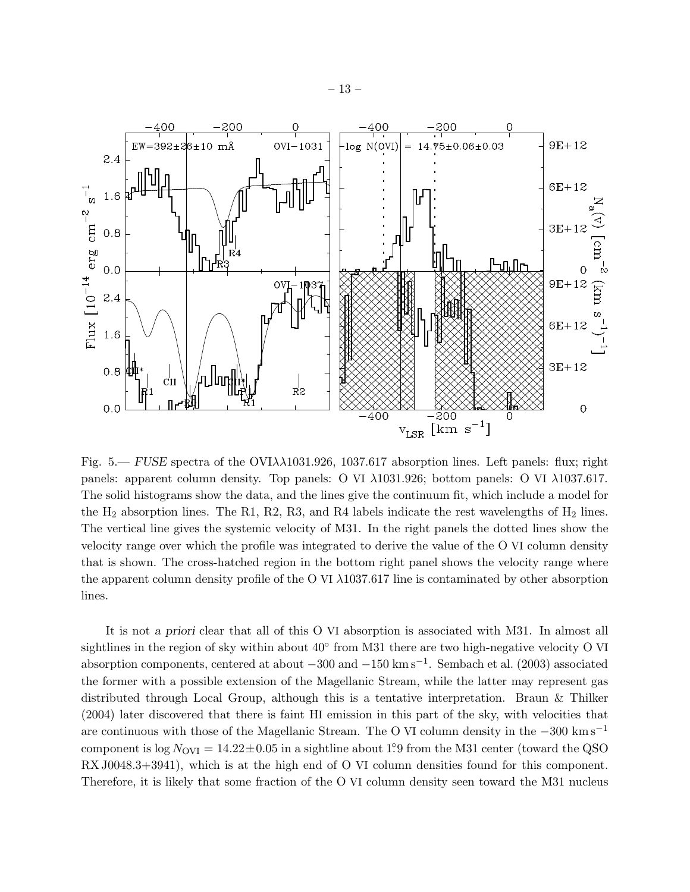

<span id="page-13-0"></span>Fig. 5.— FUSE spectra of the  $OVI\lambda\lambda1031.926$ , 1037.617 absorption lines. Left panels: flux; right panels: apparent column density. Top panels: O VI λ1031.926; bottom panels: O VI λ1037.617. The solid histograms show the data, and the lines give the continuum fit, which include a model for the  $H_2$  absorption lines. The R1, R2, R3, and R4 labels indicate the rest wavelengths of  $H_2$  lines. The vertical line gives the systemic velocity of M31. In the right panels the dotted lines show the velocity range over which the profile was integrated to derive the value of the O VI column density that is shown. The cross-hatched region in the bottom right panel shows the velocity range where the apparent column density profile of the O VI  $\lambda$ 1037.617 line is contaminated by other absorption lines.

It is not a priori clear that all of this O VI absorption is associated with M31. In almost all sightlines in the region of sky within about  $40^{\circ}$  from M31 there are two high-negative velocity O VI absorption components, centered at about −300 and −150 km s−<sup>1</sup> . Sembach et al. (2003) associated the former with a possible extension of the Magellanic Stream, while the latter may represent gas distributed through Local Group, although this is a tentative interpretation. Braun & Thilker (2004) later discovered that there is faint HI emission in this part of the sky, with velocities that are continuous with those of the Magellanic Stream. The O VI column density in the −300 km s−<sup>1</sup> component is  $log N_{\text{OVI}} = 14.22 \pm 0.05$  in a sightline about 1.9 from the M31 center (toward the QSO RX J0048.3+3941), which is at the high end of O VI column densities found for this component. Therefore, it is likely that some fraction of the O VI column density seen toward the M31 nucleus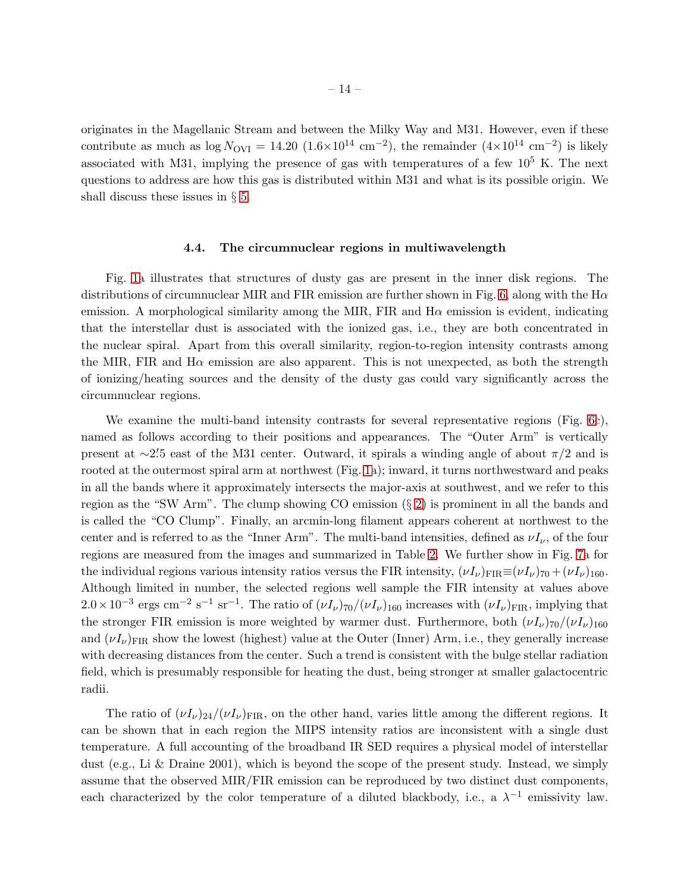originates in the Magellanic Stream and between the Milky Way and M31. However, even if these contribute as much as  $\log N_{\text{OVI}} = 14.20 \ (1.6 \times 10^{14} \ \text{cm}^{-2})$ , the remainder  $(4 \times 10^{14} \ \text{cm}^{-2})$  is likely associated with M31, implying the presence of gas with temperatures of a few  $10^5$  K. The next questions to address are how this gas is distributed within M31 and what is its possible origin. We shall discuss these issues in § [5.](#page-20-0)

#### 4.4. The circumnuclear regions in multiwavelength

<span id="page-14-0"></span>Fig. [1a](#page-6-0) illustrates that structures of dusty gas are present in the inner disk regions. The distributions of circumnuclear MIR and FIR emission are further shown in Fig. [6,](#page-16-0) along with the  $H\alpha$ emission. A morphological similarity among the MIR, FIR and  $H\alpha$  emission is evident, indicating that the interstellar dust is associated with the ionized gas, i.e., they are both concentrated in the nuclear spiral. Apart from this overall similarity, region-to-region intensity contrasts among the MIR, FIR and H $\alpha$  emission are also apparent. This is not unexpected, as both the strength of ionizing/heating sources and the density of the dusty gas could vary significantly across the circumnuclear regions.

We examine the multi-band intensity contrasts for several representative regions (Fig. [6c](#page-16-0)), named as follows according to their positions and appearances. The "Outer Arm" is vertically present at  $\sim$ 2.<sup>2</sup>5 east of the M31 center. Outward, it spirals a winding angle of about  $\pi/2$  and is rooted at the outermost spiral arm at northwest (Fig. [1a](#page-6-0)); inward, it turns northwestward and peaks in all the bands where it approximately intersects the major-axis at southwest, and we refer to this region as the "SW Arm". The clump showing CO emission  $(\S 2)$  $(\S 2)$  is prominent in all the bands and is called the "CO Clump". Finally, an arcmin-long filament appears coherent at northwest to the center and is referred to as the "Inner Arm". The multi-band intensities, defined as  $\nu I_{\nu}$ , of the four regions are measured from the images and summarized in Table 2. We further show in Fig. [7a](#page-17-0) for the individual regions various intensity ratios versus the FIR intensity,  $(\nu I_{\nu})_{\text{FIR}} \equiv (\nu I_{\nu})_{70} + (\nu I_{\nu})_{160}$ . Although limited in number, the selected regions well sample the FIR intensity at values above  $2.0\times10^{-3}$  ergs cm<sup>-2</sup> s<sup>-1</sup> sr<sup>-1</sup>. The ratio of  $(\nu I_{\nu})_{70}/(\nu I_{\nu})_{160}$  increases with  $(\nu I_{\nu})_{\rm FIR}$ , implying that the stronger FIR emission is more weighted by warmer dust. Furthermore, both  $(\nu I_{\nu})_{70}/(\nu I_{\nu})_{160}$ and  $(\nu I_{\nu})_{\text{FIR}}$  show the lowest (highest) value at the Outer (Inner) Arm, i.e., they generally increase with decreasing distances from the center. Such a trend is consistent with the bulge stellar radiation field, which is presumably responsible for heating the dust, being stronger at smaller galactocentric radii.

The ratio of  $(\nu I_{\nu})_{24}/(\nu I_{\nu})_{\text{FIR}}$ , on the other hand, varies little among the different regions. It can be shown that in each region the MIPS intensity ratios are inconsistent with a single dust temperature. A full accounting of the broadband IR SED requires a physical model of interstellar dust (e.g., Li & Draine 2001), which is beyond the scope of the present study. Instead, we simply assume that the observed MIR/FIR emission can be reproduced by two distinct dust components, each characterized by the color temperature of a diluted blackbody, i.e., a  $\lambda^{-1}$  emissivity law.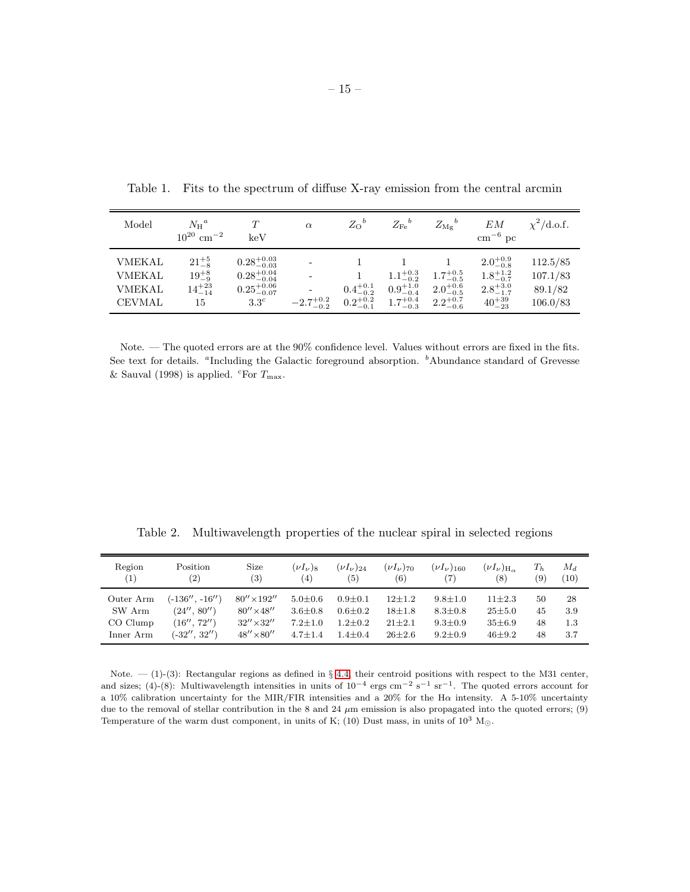| Model                                                            | $N_{\rm H}{}^a$<br>$10^{20}$ cm <sup>-2</sup>              | $\tau$<br>keV                                                                                  | $\alpha$             | $Z_O^b$             | $Z_{\mathrm{Fe}}{}^{b}$                                                            | $Z_{{\rm Mg}}^{\phantom{A}b}$                                  | EМ<br>$\rm cm^{-6}~pc$                                                                | $\chi^2$ /d.o.f.                            |
|------------------------------------------------------------------|------------------------------------------------------------|------------------------------------------------------------------------------------------------|----------------------|---------------------|------------------------------------------------------------------------------------|----------------------------------------------------------------|---------------------------------------------------------------------------------------|---------------------------------------------|
| <b>VMEKAL</b><br><b>VMEKAL</b><br><b>VMEKAL</b><br><b>CEVMAL</b> | $21^{+5}_{-8}$<br>$19^{+8}_{-9}$<br>$14^{+23}_{-14}$<br>15 | $0.28^{+0.03}_{-0.03}$<br>$0.28^{+0.04}_{-0.04}$<br>$0.25^{+0.06}_{-0.07}$<br>3.3 <sup>c</sup> | $-2.7^{+0.2}_{-0.2}$ | $0.4^{+0.1}_{-0.2}$ | $0.9^{+1.0}_{-0.4}$<br>$0.2^{+0.2}_{-0.1}$ $1.7^{+0.4}_{-0.3}$ $2.2^{+0.7}_{-0.6}$ | $1.1^{+0.3}_{-0.2}$ $1.7^{+0.5}_{-0.5}$<br>$2.0^{+0.6}_{-0.5}$ | $2.0^{+0.9}_{-0.8}$<br>$1.8^{+1.2}_{-0.7}$<br>$2.8^{+3.0}_{-1.7}$<br>$40^{+39}_{-23}$ | 112.5/85<br>107.1/83<br>89.1/82<br>106.0/83 |

Table 1. Fits to the spectrum of diffuse X-ray emission from the central arcmin

Note. — The quoted errors are at the 90% confidence level. Values without errors are fixed in the fits. See text for details. "Including the Galactic foreground absorption. "Abundance standard of Grevesse & Sauval (1998) is applied. <sup>c</sup>For  $T_{\text{max}}$ .

<span id="page-15-0"></span>Table 2. Multiwavelength properties of the nuclear spiral in selected regions

| Region<br>$\left(1\right)$ | Position<br>$\left( 2\right)$ | Size<br>(3)         | $(\nu I_{\nu})_8$<br>(4) | $(\nu I_{\nu})_{24}$<br>(5) | $(\nu I_{\nu})_{70}$<br>(6) | $(\nu I_{\nu})_{160}$<br>(7) | $(\nu I_{\nu})_{\rm H_{\infty}}$<br>(8) | $T_{h}$<br>(9) | $M_d$<br>(10) |
|----------------------------|-------------------------------|---------------------|--------------------------|-----------------------------|-----------------------------|------------------------------|-----------------------------------------|----------------|---------------|
| Outer Arm                  | (-136′′ . -16′′ )             | $80'' \times 192''$ | $5.0 \pm 0.6$            | $0.9 + 0.1$                 | $12+1.2$                    | $9.8 + 1.0$                  | $11\pm2.3$                              | 50             | 28            |
| SW Arm                     | (24'', 80'')                  | $80'' \times 48''$  | $3.6 + 0.8$              | $0.6 + 0.2$                 | $18 + 1.8$                  | $8.3 \pm 0.8$                | $25 + 5.0$                              | 45             | 3.9           |
| CO Clump                   | (16'', 72'')                  | $32'' \times 32''$  | $7.2 + 1.0$              | $1.2 + 0.2$                 | $21 + 2.1$                  | $9.3 \pm 0.9$                | $35 \pm 6.9$                            | 48             | 1.3           |
| Inner Arm                  | $(-32'', 32'')$               | $48'' \times 80''$  | $4.7 + 1.4$              | $1.4 + 0.4$                 | $26 + 2.6$                  | $9.2 + 0.9$                  | $46 + 9.2$                              | 48             | 3.7           |

Note.  $-$  (1)-(3): Rectangular regions as defined in § [4.4,](#page-14-0) their centroid positions with respect to the M31 center, and sizes; (4)-(8): Multiwavelength intensities in units of  $10^{-4}$  ergs cm<sup>-2</sup> s<sup>-1</sup> sr<sup>-1</sup>. The quoted errors account for a 10% calibration uncertainty for the MIR/FIR intensities and a 20% for the Hα intensity. A 5-10% uncertainty due to the removal of stellar contribution in the 8 and 24  $\mu$ m emission is also propagated into the quoted errors; (9) Temperature of the warm dust component, in units of K; (10) Dust mass, in units of  $10^3$  M<sub> $\odot$ </sub>.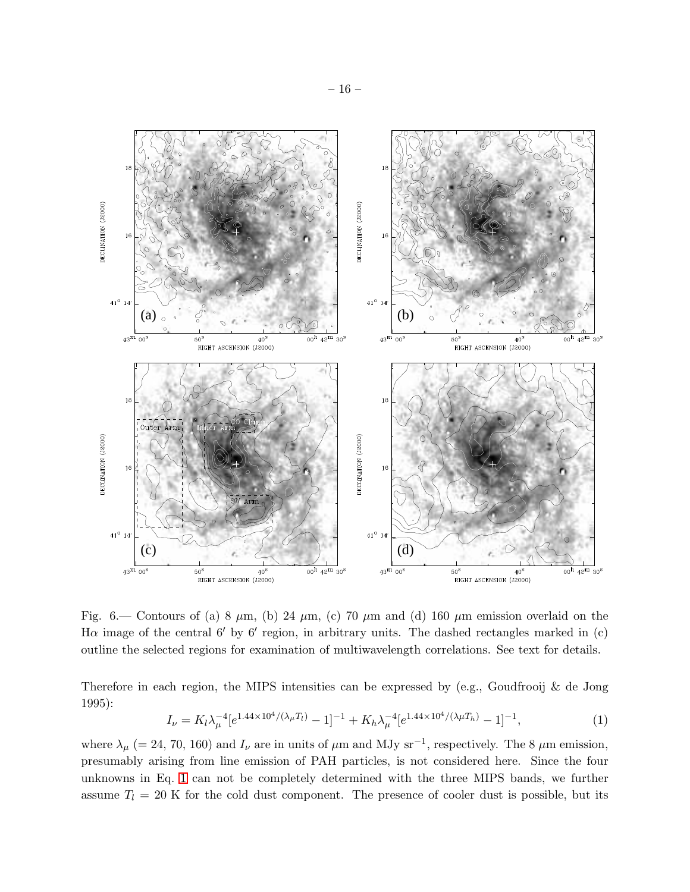

<span id="page-16-0"></span>Fig. 6.— Contours of (a) 8  $\mu$ m, (b) 24  $\mu$ m, (c) 70  $\mu$ m and (d) 160  $\mu$ m emission overlaid on the H $\alpha$  image of the central 6' by 6' region, in arbitrary units. The dashed rectangles marked in (c) outline the selected regions for examination of multiwavelength correlations. See text for details.

Therefore in each region, the MIPS intensities can be expressed by (e.g., Goudfrooij & de Jong 1995):

<span id="page-16-1"></span>
$$
I_{\nu} = K_l \lambda_{\mu}^{-4} [e^{1.44 \times 10^4/(\lambda_{\mu} T_l)} - 1]^{-1} + K_h \lambda_{\mu}^{-4} [e^{1.44 \times 10^4/(\lambda_{\mu} T_h)} - 1]^{-1}, \tag{1}
$$

where  $\lambda_{\mu}$  (= 24, 70, 160) and  $I_{\nu}$  are in units of  $\mu$ m and MJy sr<sup>-1</sup>, respectively. The 8  $\mu$ m emission, presumably arising from line emission of PAH particles, is not considered here. Since the four unknowns in Eq. [1](#page-16-1) can not be completely determined with the three MIPS bands, we further assume  $T_l = 20$  K for the cold dust component. The presence of cooler dust is possible, but its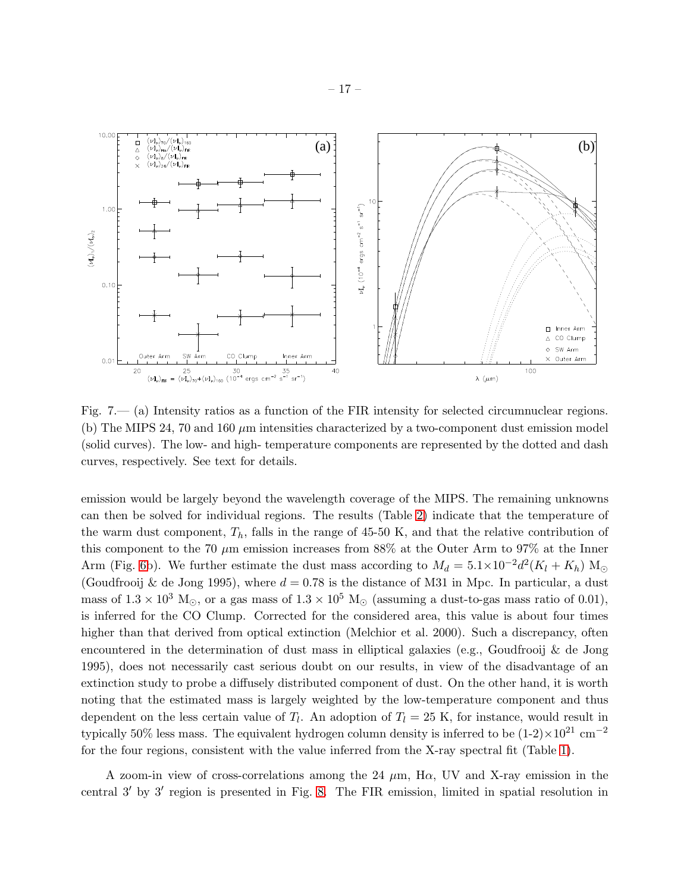

<span id="page-17-0"></span>Fig. 7.— (a) Intensity ratios as a function of the FIR intensity for selected circumnuclear regions. (b) The MIPS 24, 70 and 160  $\mu$ m intensities characterized by a two-component dust emission model (solid curves). The low- and high- temperature components are represented by the dotted and dash curves, respectively. See text for details.

emission would be largely beyond the wavelength coverage of the MIPS. The remaining unknowns can then be solved for individual regions. The results (Table 2) indicate that the temperature of the warm dust component,  $T_h$ , falls in the range of 45-50 K, and that the relative contribution of this component to the 70  $\mu$ m emission increases from 88% at the Outer Arm to 97% at the Inner Arm (Fig. [6b](#page-16-0)). We further estimate the dust mass according to  $M_d = 5.1 \times 10^{-2} d^2 (K_l + K_h) \text{ M}_\odot$ (Goudfrooij & de Jong 1995), where  $d = 0.78$  is the distance of M31 in Mpc. In particular, a dust mass of  $1.3 \times 10^3$  M<sub>☉</sub>, or a gas mass of  $1.3 \times 10^5$  M<sub>☉</sub> (assuming a dust-to-gas mass ratio of 0.01), is inferred for the CO Clump. Corrected for the considered area, this value is about four times higher than that derived from optical extinction (Melchior et al. 2000). Such a discrepancy, often encountered in the determination of dust mass in elliptical galaxies (e.g., Goudfrooij & de Jong 1995), does not necessarily cast serious doubt on our results, in view of the disadvantage of an extinction study to probe a diffusely distributed component of dust. On the other hand, it is worth noting that the estimated mass is largely weighted by the low-temperature component and thus dependent on the less certain value of  $T_l$ . An adoption of  $T_l = 25$  K, for instance, would result in typically 50% less mass. The equivalent hydrogen column density is inferred to be  $(1-2) \times 10^{21}$  cm<sup>-2</sup> for the four regions, consistent with the value inferred from the X-ray spectral fit (Table [1\)](#page-15-0).

A zoom-in view of cross-correlations among the 24  $\mu$ m, H $\alpha$ , UV and X-ray emission in the central 3′ by 3′ region is presented in Fig. [8.](#page-18-0) The FIR emission, limited in spatial resolution in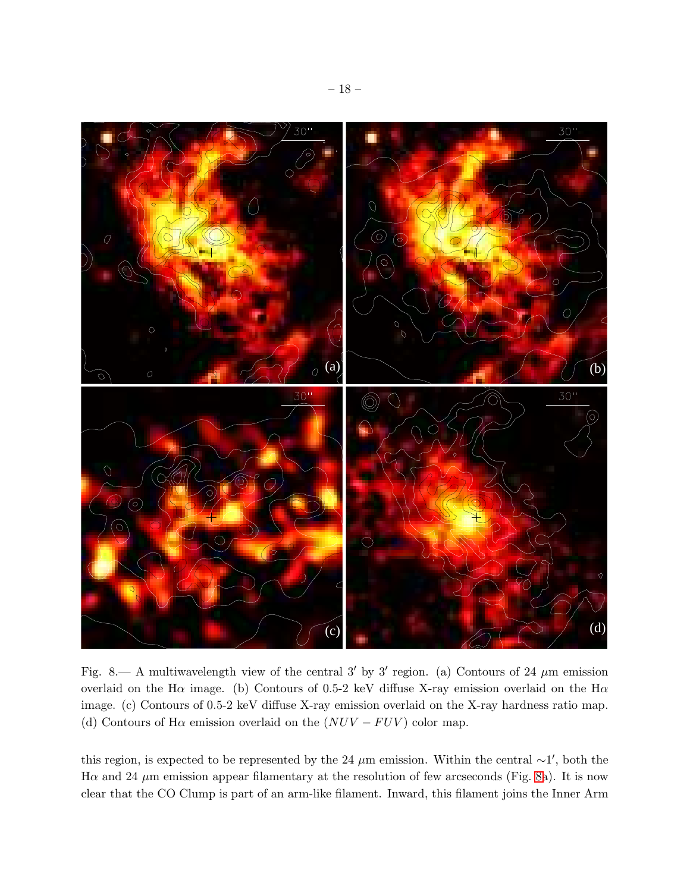

<span id="page-18-0"></span>Fig. 8.— A multiwavelength view of the central 3' by 3' region. (a) Contours of 24  $\mu$ m emission overlaid on the H $\alpha$  image. (b) Contours of 0.5-2 keV diffuse X-ray emission overlaid on the H $\alpha$ image. (c) Contours of 0.5-2 keV diffuse X-ray emission overlaid on the X-ray hardness ratio map. (d) Contours of H $\alpha$  emission overlaid on the  $(NUV - FUV)$  color map.

this region, is expected to be represented by the 24  $\mu$ m emission. Within the central ∼1', both the H $\alpha$  and 24  $\mu$ m emission appear filamentary at the resolution of few arcseconds (Fig. [8a](#page-18-0)). It is now clear that the CO Clump is part of an arm-like filament. Inward, this filament joins the Inner Arm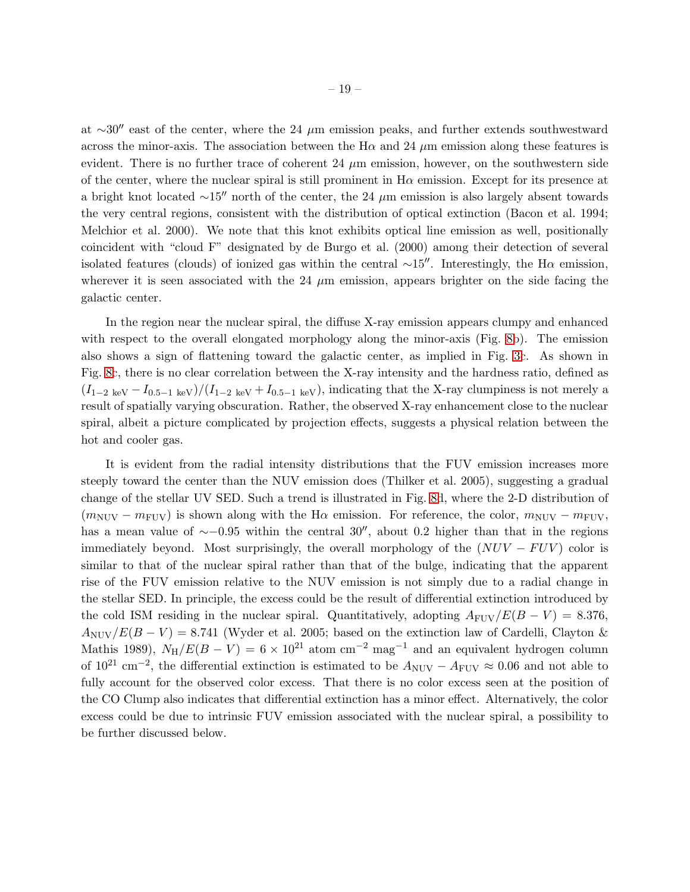at ∼30′′ east of the center, where the 24 µm emission peaks, and further extends southwestward across the minor-axis. The association between the H $\alpha$  and 24  $\mu$ m emission along these features is evident. There is no further trace of coherent 24  $\mu$ m emission, however, on the southwestern side of the center, where the nuclear spiral is still prominent in  $H\alpha$  emission. Except for its presence at a bright knot located ∼15′′ north of the center, the 24 µm emission is also largely absent towards the very central regions, consistent with the distribution of optical extinction (Bacon et al. 1994; Melchior et al. 2000). We note that this knot exhibits optical line emission as well, positionally coincident with "cloud F" designated by de Burgo et al. (2000) among their detection of several isolated features (clouds) of ionized gas within the central ∼15″. Interestingly, the H $\alpha$  emission, wherever it is seen associated with the 24  $\mu$ m emission, appears brighter on the side facing the galactic center.

In the region near the nuclear spiral, the diffuse X-ray emission appears clumpy and enhanced with respect to the overall elongated morphology along the minor-axis (Fig. [8b](#page-18-0)). The emission also shows a sign of flattening toward the galactic center, as implied in Fig. [3c](#page-9-1). As shown in Fig. [8c](#page-18-0), there is no clear correlation between the X-ray intensity and the hardness ratio, defined as  $(I_{1-2 \text{ keV}} - I_{0.5-1 \text{ keV}})/(I_{1-2 \text{ keV}} + I_{0.5-1 \text{ keV}})$ , indicating that the X-ray clumpiness is not merely a result of spatially varying obscuration. Rather, the observed X-ray enhancement close to the nuclear spiral, albeit a picture complicated by projection effects, suggests a physical relation between the hot and cooler gas.

It is evident from the radial intensity distributions that the FUV emission increases more steeply toward the center than the NUV emission does (Thilker et al. 2005), suggesting a gradual change of the stellar UV SED. Such a trend is illustrated in Fig. [8d](#page-18-0), where the 2-D distribution of  $(m_{\text{NUV}} - m_{\text{FUV}})$  is shown along with the H $\alpha$  emission. For reference, the color,  $m_{\text{NUV}} - m_{\text{FUV}}$ , has a mean value of ∼−0.95 within the central 30′′, about 0.2 higher than that in the regions immediately beyond. Most surprisingly, the overall morphology of the  $(NUV - FUV)$  color is similar to that of the nuclear spiral rather than that of the bulge, indicating that the apparent rise of the FUV emission relative to the NUV emission is not simply due to a radial change in the stellar SED. In principle, the excess could be the result of differential extinction introduced by the cold ISM residing in the nuclear spiral. Quantitatively, adopting  $A_{\text{FUV}}/E(B-V) = 8.376$ ,  $A_{\text{NUV}}/E(B-V) = 8.741$  (Wyder et al. 2005; based on the extinction law of Cardelli, Clayton & Mathis 1989),  $N_H/E(B - V) = 6 \times 10^{21}$  atom cm<sup>-2</sup> mag<sup>-1</sup> and an equivalent hydrogen column of 10<sup>21</sup> cm<sup>-2</sup>, the differential extinction is estimated to be  $A_{\text{NUV}} - A_{\text{FUV}} \approx 0.06$  and not able to fully account for the observed color excess. That there is no color excess seen at the position of the CO Clump also indicates that differential extinction has a minor effect. Alternatively, the color excess could be due to intrinsic FUV emission associated with the nuclear spiral, a possibility to be further discussed below.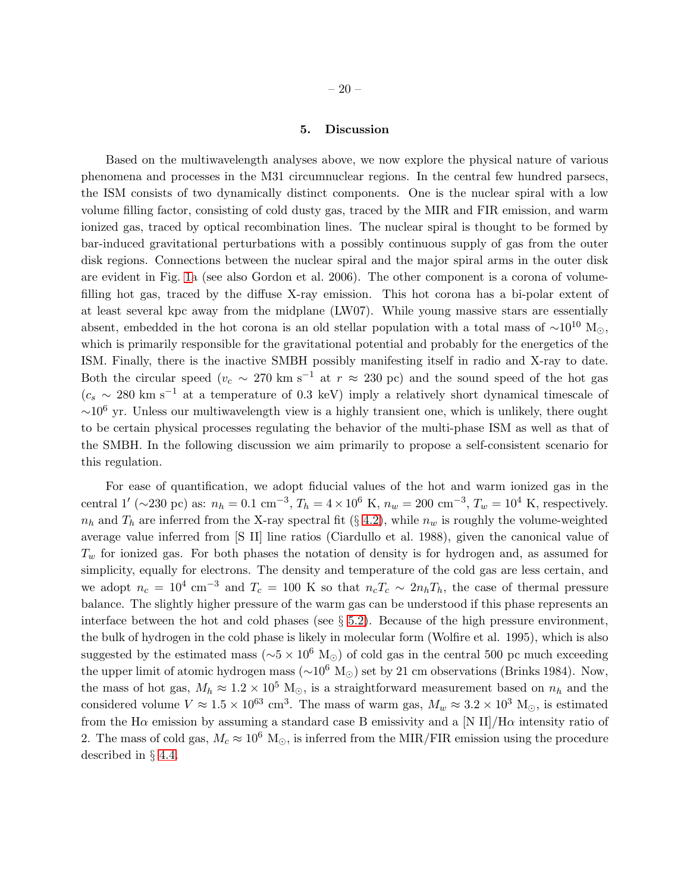#### 5. Discussion

<span id="page-20-0"></span>Based on the multiwavelength analyses above, we now explore the physical nature of various phenomena and processes in the M31 circumnuclear regions. In the central few hundred parsecs, the ISM consists of two dynamically distinct components. One is the nuclear spiral with a low volume filling factor, consisting of cold dusty gas, traced by the MIR and FIR emission, and warm ionized gas, traced by optical recombination lines. The nuclear spiral is thought to be formed by bar-induced gravitational perturbations with a possibly continuous supply of gas from the outer disk regions. Connections between the nuclear spiral and the major spiral arms in the outer disk are evident in Fig. [1a](#page-6-0) (see also Gordon et al. 2006). The other component is a corona of volumefilling hot gas, traced by the diffuse X-ray emission. This hot corona has a bi-polar extent of at least several kpc away from the midplane (LW07). While young massive stars are essentially absent, embedded in the hot corona is an old stellar population with a total mass of  $\sim 10^{10}$  M<sub>☉</sub>, which is primarily responsible for the gravitational potential and probably for the energetics of the ISM. Finally, there is the inactive SMBH possibly manifesting itself in radio and X-ray to date. Both the circular speed ( $v_c \sim 270 \text{ km s}^{-1}$  at  $r \approx 230 \text{ pc}$ ) and the sound speed of the hot gas  $(c_s \sim 280 \text{ km s}^{-1}$  at a temperature of 0.3 keV) imply a relatively short dynamical timescale of  $~\sim$ 10<sup>6</sup> yr. Unless our multiwavelength view is a highly transient one, which is unlikely, there ought to be certain physical processes regulating the behavior of the multi-phase ISM as well as that of the SMBH. In the following discussion we aim primarily to propose a self-consistent scenario for this regulation.

For ease of quantification, we adopt fiducial values of the hot and warm ionized gas in the central 1' (~230 pc) as:  $n_h = 0.1 \text{ cm}^{-3}$ ,  $T_h = 4 \times 10^6 \text{ K}$ ,  $n_w = 200 \text{ cm}^{-3}$ ,  $T_w = 10^4 \text{ K}$ , respectively.  $n_h$  and  $T_h$  are inferred from the X-ray spectral fit (§ [4.2\)](#page-9-0), while  $n_w$  is roughly the volume-weighted average value inferred from [S II] line ratios (Ciardullo et al. 1988), given the canonical value of  $T_w$  for ionized gas. For both phases the notation of density is for hydrogen and, as assumed for simplicity, equally for electrons. The density and temperature of the cold gas are less certain, and we adopt  $n_c = 10^4$  cm<sup>-3</sup> and  $T_c = 100$  K so that  $n_cT_c \sim 2n_hT_h$ , the case of thermal pressure balance. The slightly higher pressure of the warm gas can be understood if this phase represents an interface between the hot and cold phases (see  $\S 5.2$ ). Because of the high pressure environment, the bulk of hydrogen in the cold phase is likely in molecular form (Wolfire et al. 1995), which is also suggested by the estimated mass ( $\sim$ 5 × 10<sup>6</sup> M<sub>☉</sub>) of cold gas in the central 500 pc much exceeding the upper limit of atomic hydrogen mass ( $\sim 10^6$  M<sub>☉</sub>) set by 21 cm observations (Brinks 1984). Now, the mass of hot gas,  $M_h \approx 1.2 \times 10^5$  M<sub>☉</sub>, is a straightforward measurement based on  $n_h$  and the considered volume  $V \approx 1.5 \times 10^{63}$  cm<sup>3</sup>. The mass of warm gas,  $M_w \approx 3.2 \times 10^3$  M<sub>o</sub>, is estimated from the H $\alpha$  emission by assuming a standard case B emissivity and a [N II]/H $\alpha$  intensity ratio of 2. The mass of cold gas,  $M_c \approx 10^6$  M<sub> $\odot$ </sub>, is inferred from the MIR/FIR emission using the procedure described in § [4.4.](#page-14-0)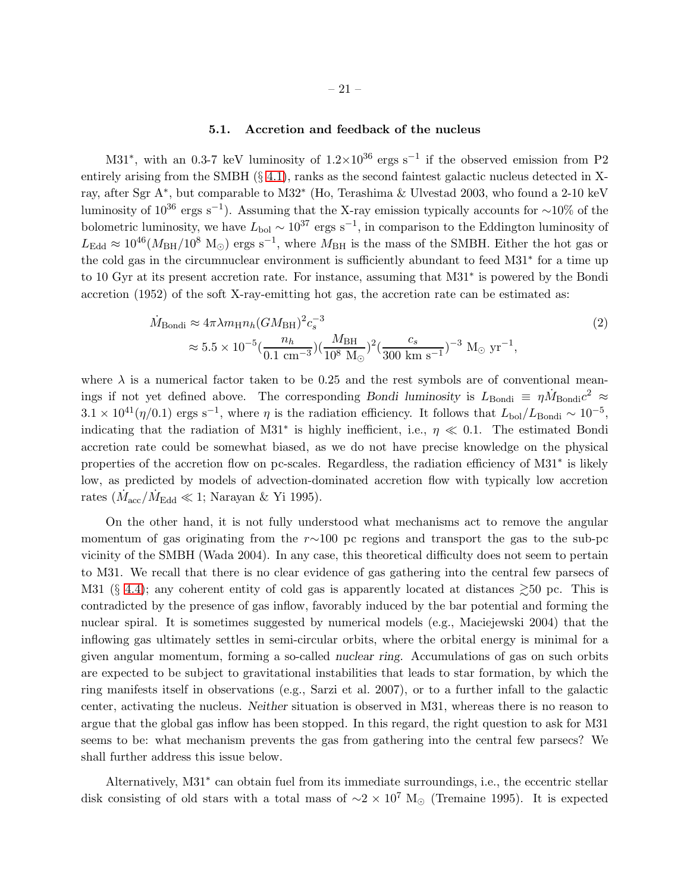### 5.1. Accretion and feedback of the nucleus

M31<sup>\*</sup>, with an 0.3-7 keV luminosity of  $1.2 \times 10^{36}$  ergs s<sup>-1</sup> if the observed emission from P2 entirely arising from the SMBH (§ [4.1\)](#page-7-1), ranks as the second faintest galactic nucleus detected in Xray, after Sgr A<sup>∗</sup> , but comparable to M32<sup>∗</sup> (Ho, Terashima & Ulvestad 2003, who found a 2-10 keV luminosity of  $10^{36}$  ergs s<sup>-1</sup>). Assuming that the X-ray emission typically accounts for ~10% of the bolometric luminosity, we have  $L_{\text{bol}} \sim 10^{37}$  ergs s<sup>-1</sup>, in comparison to the Eddington luminosity of  $L_{\text{Edd}} \approx 10^{46} (M_{\text{BH}}/10^8 \text{ M}_{\odot}) \text{ ergs s}^{-1}$ , where  $M_{\text{BH}}$  is the mass of the SMBH. Either the hot gas or the cold gas in the circumnuclear environment is sufficiently abundant to feed M31<sup>∗</sup> for a time up to 10 Gyr at its present accretion rate. For instance, assuming that M31<sup>∗</sup> is powered by the Bondi accretion (1952) of the soft X-ray-emitting hot gas, the accretion rate can be estimated as:

$$
\dot{M}_{\text{Bondi}} \approx 4\pi \lambda m_{\text{H}} n_h (GM_{\text{BH}})^2 c_s^{-3}
$$
\n
$$
\approx 5.5 \times 10^{-5} (\frac{n_h}{0.1 \text{ cm}^{-3}}) (\frac{M_{\text{BH}}}{10^8 \text{ M}_{\odot}})^2 (\frac{c_s}{300 \text{ km s}^{-1}})^{-3} \text{ M}_{\odot} \text{ yr}^{-1},
$$
\n(2)

where  $\lambda$  is a numerical factor taken to be 0.25 and the rest symbols are of conventional meanings if not yet defined above. The corresponding Bondi luminosity is  $L_{\text{Bondi}} \equiv \eta \dot{M}_{\text{Bondi}} c^2 \approx$  $3.1 \times 10^{41} (\eta/0.1)$  ergs s<sup>-1</sup>, where  $\eta$  is the radiation efficiency. It follows that  $L_{\text{bol}}/L_{\text{Bondi}} \sim 10^{-5}$ , indicating that the radiation of M31<sup>\*</sup> is highly inefficient, i.e.,  $\eta \ll 0.1$ . The estimated Bondi accretion rate could be somewhat biased, as we do not have precise knowledge on the physical properties of the accretion flow on pc-scales. Regardless, the radiation efficiency of M31<sup>∗</sup> is likely low, as predicted by models of advection-dominated accretion flow with typically low accretion rates ( $\dot{M}_{\rm acc}/\dot{M}_{\rm Edd} \ll 1$ ; Narayan & Yi 1995).

On the other hand, it is not fully understood what mechanisms act to remove the angular momentum of gas originating from the  $r\sim100$  pc regions and transport the gas to the sub-pc vicinity of the SMBH (Wada 2004). In any case, this theoretical difficulty does not seem to pertain to M31. We recall that there is no clear evidence of gas gathering into the central few parsecs of M31 (§ [4.4\)](#page-14-0); any coherent entity of cold gas is apparently located at distances  $\geq 50$  pc. This is contradicted by the presence of gas inflow, favorably induced by the bar potential and forming the nuclear spiral. It is sometimes suggested by numerical models (e.g., Maciejewski 2004) that the inflowing gas ultimately settles in semi-circular orbits, where the orbital energy is minimal for a given angular momentum, forming a so-called nuclear ring. Accumulations of gas on such orbits are expected to be subject to gravitational instabilities that leads to star formation, by which the ring manifests itself in observations (e.g., Sarzi et al. 2007), or to a further infall to the galactic center, activating the nucleus. Neither situation is observed in M31, whereas there is no reason to argue that the global gas inflow has been stopped. In this regard, the right question to ask for M31 seems to be: what mechanism prevents the gas from gathering into the central few parsecs? We shall further address this issue below.

Alternatively, M31<sup>∗</sup> can obtain fuel from its immediate surroundings, i.e., the eccentric stellar disk consisting of old stars with a total mass of  $\sim$ 2 × 10<sup>7</sup> M<sub>☉</sub> (Tremaine 1995). It is expected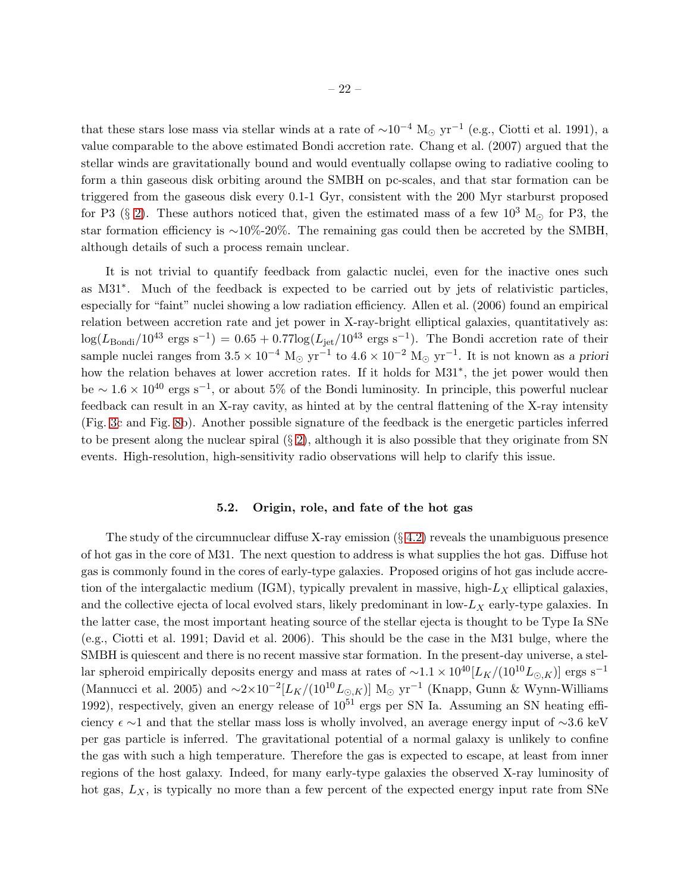that these stars lose mass via stellar winds at a rate of  $\sim 10^{-4}$  M<sub>☉</sub> yr<sup>-1</sup> (e.g., Ciotti et al. 1991), a value comparable to the above estimated Bondi accretion rate. Chang et al. (2007) argued that the stellar winds are gravitationally bound and would eventually collapse owing to radiative cooling to form a thin gaseous disk orbiting around the SMBH on pc-scales, and that star formation can be triggered from the gaseous disk every 0.1-1 Gyr, consistent with the 200 Myr starburst proposed for P3 (§ [2\)](#page-3-0). These authors noticed that, given the estimated mass of a few  $10^3$  M<sub> $\odot$ </sub> for P3, the star formation efficiency is ∼10%-20%. The remaining gas could then be accreted by the SMBH, although details of such a process remain unclear.

It is not trivial to quantify feedback from galactic nuclei, even for the inactive ones such as M31<sup>∗</sup> . Much of the feedback is expected to be carried out by jets of relativistic particles, especially for "faint" nuclei showing a low radiation efficiency. Allen et al. (2006) found an empirical relation between accretion rate and jet power in X-ray-bright elliptical galaxies, quantitatively as:  $\log(L_{\text{Bondi}}/10^{43} \text{ ergs s}^{-1}) = 0.65 + 0.77 \log(L_{\text{jet}}/10^{43} \text{ ergs s}^{-1})$ . The Bondi accretion rate of their sample nuclei ranges from  $3.5 \times 10^{-4}$  M<sub>☉</sub> yr<sup>-1</sup> to  $4.6 \times 10^{-2}$  M<sub>☉</sub> yr<sup>-1</sup>. It is not known as a priori how the relation behaves at lower accretion rates. If it holds for M31<sup>∗</sup> , the jet power would then be  $\sim 1.6 \times 10^{40}$  ergs s<sup>-1</sup>, or about 5% of the Bondi luminosity. In principle, this powerful nuclear feedback can result in an X-ray cavity, as hinted at by the central flattening of the X-ray intensity (Fig. [3c](#page-9-1) and Fig. [8b](#page-18-0)). Another possible signature of the feedback is the energetic particles inferred to be present along the nuclear spiral  $(\S 2)$  $(\S 2)$ , although it is also possible that they originate from SN events. High-resolution, high-sensitivity radio observations will help to clarify this issue.

### 5.2. Origin, role, and fate of the hot gas

<span id="page-22-0"></span>The study of the circumnuclear diffuse X-ray emission  $(\S 4.2)$  $(\S 4.2)$  reveals the unambiguous presence of hot gas in the core of M31. The next question to address is what supplies the hot gas. Diffuse hot gas is commonly found in the cores of early-type galaxies. Proposed origins of hot gas include accretion of the intergalactic medium (IGM), typically prevalent in massive, high- $L_X$  elliptical galaxies, and the collective ejecta of local evolved stars, likely predominant in low- $L_X$  early-type galaxies. In the latter case, the most important heating source of the stellar ejecta is thought to be Type Ia SNe (e.g., Ciotti et al. 1991; David et al. 2006). This should be the case in the M31 bulge, where the SMBH is quiescent and there is no recent massive star formation. In the present-day universe, a stellar spheroid empirically deposits energy and mass at rates of  $\sim$ 1.1 × 10<sup>40</sup>[L<sub>K</sub>/(10<sup>10</sup>L<sub>⊙,K</sub>)] ergs s<sup>-1</sup> (Mannucci et al. 2005) and  $\sim 2 \times 10^{-2} [L_K/(10^{10} L_{\odot},k)]$  M<sub>☉</sub> yr<sup>-1</sup> (Knapp, Gunn & Wynn-Williams 1992), respectively, given an energy release of  $10^{51}$  ergs per SN Ia. Assuming an SN heating efficiency  $\epsilon \sim 1$  and that the stellar mass loss is wholly involved, an average energy input of  $\sim 3.6$  keV per gas particle is inferred. The gravitational potential of a normal galaxy is unlikely to confine the gas with such a high temperature. Therefore the gas is expected to escape, at least from inner regions of the host galaxy. Indeed, for many early-type galaxies the observed X-ray luminosity of hot gas,  $L_X$ , is typically no more than a few percent of the expected energy input rate from SNe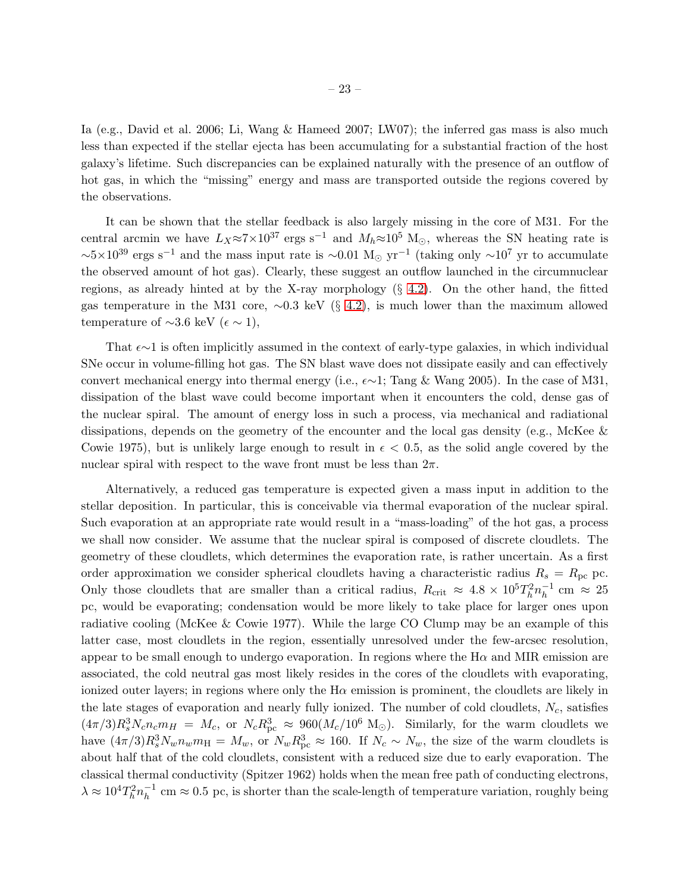Ia (e.g., David et al. 2006; Li, Wang & Hameed 2007; LW07); the inferred gas mass is also much less than expected if the stellar ejecta has been accumulating for a substantial fraction of the host galaxy's lifetime. Such discrepancies can be explained naturally with the presence of an outflow of hot gas, in which the "missing" energy and mass are transported outside the regions covered by the observations.

It can be shown that the stellar feedback is also largely missing in the core of M31. For the central arcmin we have  $L_X \approx 7 \times 10^{37}$  ergs s<sup>-1</sup> and  $M_h \approx 10^5$  M<sub>☉</sub>, whereas the SN heating rate is  $\sim 5 \times 10^{39}$  ergs s<sup>-1</sup> and the mass input rate is  $\sim 0.01 \text{ M}_{\odot} \text{ yr}^{-1}$  (taking only  $\sim 10^{7} \text{ yr}$  to accumulate the observed amount of hot gas). Clearly, these suggest an outflow launched in the circumnuclear regions, as already hinted at by the X-ray morphology (§ [4.2\)](#page-9-0). On the other hand, the fitted gas temperature in the M31 core,  $\sim 0.3$  keV (§ [4.2\)](#page-9-0), is much lower than the maximum allowed temperature of  $\sim$ 3.6 keV ( $\epsilon \sim 1$ ),

That  $\epsilon \sim 1$  is often implicitly assumed in the context of early-type galaxies, in which individual SNe occur in volume-filling hot gas. The SN blast wave does not dissipate easily and can effectively convert mechanical energy into thermal energy (i.e.,  $\epsilon \sim 1$ ; Tang & Wang 2005). In the case of M31, dissipation of the blast wave could become important when it encounters the cold, dense gas of the nuclear spiral. The amount of energy loss in such a process, via mechanical and radiational dissipations, depends on the geometry of the encounter and the local gas density (e.g., McKee  $\&$ Cowie 1975), but is unlikely large enough to result in  $\epsilon < 0.5$ , as the solid angle covered by the nuclear spiral with respect to the wave front must be less than  $2\pi$ .

Alternatively, a reduced gas temperature is expected given a mass input in addition to the stellar deposition. In particular, this is conceivable via thermal evaporation of the nuclear spiral. Such evaporation at an appropriate rate would result in a "mass-loading" of the hot gas, a process we shall now consider. We assume that the nuclear spiral is composed of discrete cloudlets. The geometry of these cloudlets, which determines the evaporation rate, is rather uncertain. As a first order approximation we consider spherical cloudlets having a characteristic radius  $R_s = R_{\text{pc}}$  pc. Only those cloudlets that are smaller than a critical radius,  $R_{\text{crit}} \approx 4.8 \times 10^5 T_h^2 n_h^{-1}$  $\frac{1}{h}$  cm  $\approx 25$ pc, would be evaporating; condensation would be more likely to take place for larger ones upon radiative cooling (McKee & Cowie 1977). While the large CO Clump may be an example of this latter case, most cloudlets in the region, essentially unresolved under the few-arcsec resolution, appear to be small enough to undergo evaporation. In regions where the  $H\alpha$  and MIR emission are associated, the cold neutral gas most likely resides in the cores of the cloudlets with evaporating, ionized outer layers; in regions where only the  $H\alpha$  emission is prominent, the cloudlets are likely in the late stages of evaporation and nearly fully ionized. The number of cold cloudlets,  $N_c$ , satisfies  $(4\pi/3)R_s^3N_cn_cm_H = M_c$ , or  $N_cR_{pc}^3 \approx 960(M_c/10^6 \text{ M}_{\odot})$ . Similarly, for the warm cloudlets we have  $(4\pi/3)R_s^3N_wn_wm_H = M_w$ , or  $N_wR_{pc}^3 \approx 160$ . If  $N_c \sim N_w$ , the size of the warm cloudlets is about half that of the cold cloudlets, consistent with a reduced size due to early evaporation. The classical thermal conductivity (Spitzer 1962) holds when the mean free path of conducting electrons,  $\lambda \approx 10^4 T_h^2 n_h^{-1}$  $h^{-1}$  cm  $\approx 0.5$  pc, is shorter than the scale-length of temperature variation, roughly being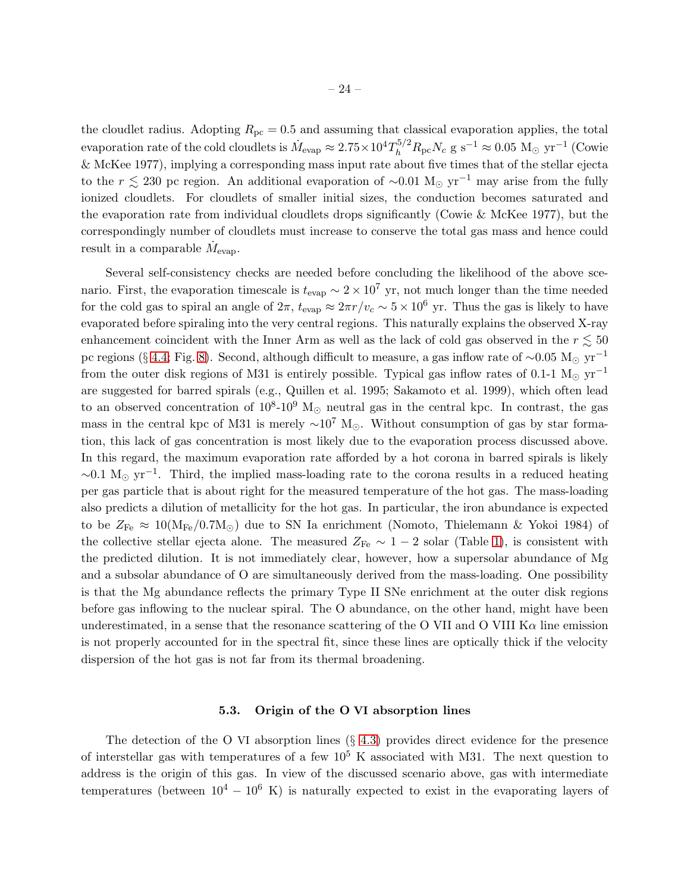the cloudlet radius. Adopting  $R_{\text{pc}} = 0.5$  and assuming that classical evaporation applies, the total evaporation rate of the cold cloudlets is  $\dot{M}_{\rm evap} \approx 2.75 \times 10^4 T_h^{5/2} R_{\rm pc} N_c$  g s<sup>-1</sup>  $\approx 0.05 \, \rm\,M_\odot \, \rm \,yr^{-1}$  (Cowie & McKee 1977), implying a corresponding mass input rate about five times that of the stellar ejecta to the r  $\leq$  230 pc region. An additional evaporation of ~0.01 M<sub>⊙</sub> yr<sup>-1</sup> may arise from the fully ionized cloudlets. For cloudlets of smaller initial sizes, the conduction becomes saturated and the evaporation rate from individual cloudlets drops significantly (Cowie & McKee 1977), but the correspondingly number of cloudlets must increase to conserve the total gas mass and hence could result in a comparable  $\dot{M}_{\text{evap}}$ .

Several self-consistency checks are needed before concluding the likelihood of the above scenario. First, the evaporation timescale is  $t_{\text{evap}} \sim 2 \times 10^7$  yr, not much longer than the time needed for the cold gas to spiral an angle of  $2\pi$ ,  $t_{\text{evap}} \approx 2\pi r/v_c \sim 5 \times 10^6$  yr. Thus the gas is likely to have evaporated before spiraling into the very central regions. This naturally explains the observed X-ray enhancement coincident with the Inner Arm as well as the lack of cold gas observed in the  $r \lesssim 50$ pc regions (§ [4.4;](#page-14-0) Fig. [8\)](#page-18-0). Second, although difficult to measure, a gas inflow rate of ~0.05 M<sub>☉</sub> yr<sup>-1</sup> from the outer disk regions of M31 is entirely possible. Typical gas inflow rates of 0.1-1 M<sub>☉</sub> yr<sup>-1</sup> are suggested for barred spirals (e.g., Quillen et al. 1995; Sakamoto et al. 1999), which often lead to an observed concentration of  $10^8$ - $10^9$  M<sub>☉</sub> neutral gas in the central kpc. In contrast, the gas mass in the central kpc of M31 is merely  $\sim 10^7$  M<sub>⊙</sub>. Without consumption of gas by star formation, this lack of gas concentration is most likely due to the evaporation process discussed above. In this regard, the maximum evaporation rate afforded by a hot corona in barred spirals is likely  $\sim$ 0.1 M<sub>☉</sub> yr<sup>-1</sup>. Third, the implied mass-loading rate to the corona results in a reduced heating per gas particle that is about right for the measured temperature of the hot gas. The mass-loading also predicts a dilution of metallicity for the hot gas. In particular, the iron abundance is expected to be  $Z_{\text{Fe}} \approx 10(M_{\text{Fe}}/0.7M_{\odot})$  due to SN Ia enrichment (Nomoto, Thielemann & Yokoi 1984) of the collective stellar ejecta alone. The measured  $Z_{\text{Fe}} \sim 1 - 2$  solar (Table [1\)](#page-15-0), is consistent with the predicted dilution. It is not immediately clear, however, how a supersolar abundance of Mg and a subsolar abundance of O are simultaneously derived from the mass-loading. One possibility is that the Mg abundance reflects the primary Type II SNe enrichment at the outer disk regions before gas inflowing to the nuclear spiral. The O abundance, on the other hand, might have been underestimated, in a sense that the resonance scattering of the O VII and O VIII  $K\alpha$  line emission is not properly accounted for in the spectral fit, since these lines are optically thick if the velocity dispersion of the hot gas is not far from its thermal broadening.

#### 5.3. Origin of the O VI absorption lines

<span id="page-24-0"></span>The detection of the O VI absorption lines  $(\S$  [4.3\)](#page-12-0) provides direct evidence for the presence of interstellar gas with temperatures of a few  $10^5$  K associated with M31. The next question to address is the origin of this gas. In view of the discussed scenario above, gas with intermediate temperatures (between  $10^4 - 10^6$  K) is naturally expected to exist in the evaporating layers of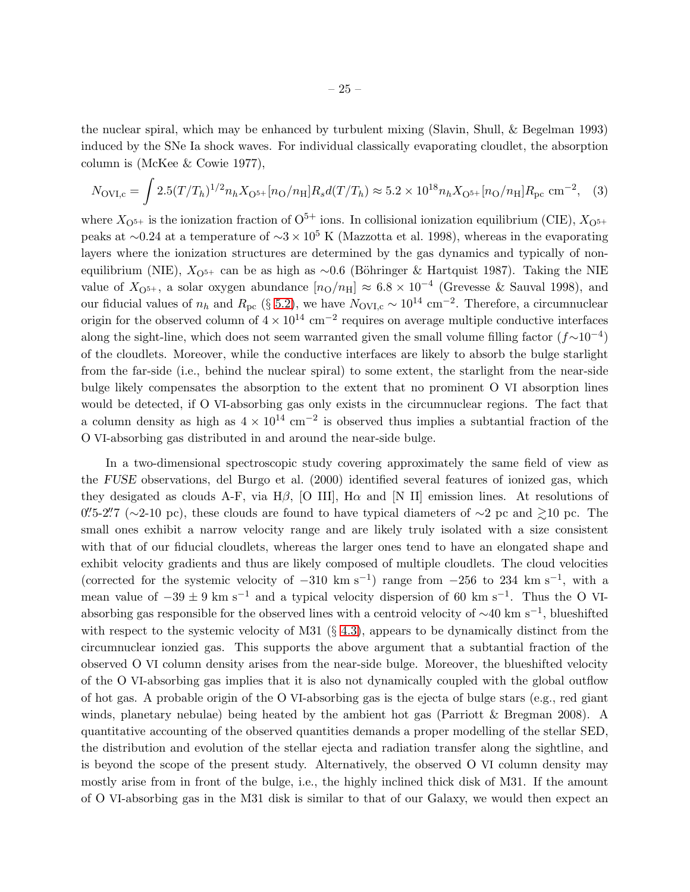the nuclear spiral, which may be enhanced by turbulent mixing (Slavin, Shull, & Begelman 1993) induced by the SNe Ia shock waves. For individual classically evaporating cloudlet, the absorption column is (McKee & Cowie 1977),

$$
N_{\rm OVI,c} = \int 2.5 (T/T_h)^{1/2} n_h X_{\rm O^{5+}}[n_{\rm O}/n_{\rm H}] R_s d(T/T_h) \approx 5.2 \times 10^{18} n_h X_{\rm O^{5+}}[n_{\rm O}/n_{\rm H}] R_{\rm pc} \text{ cm}^{-2}, \tag{3}
$$

where  $X_{\text{O}^{5+}}$  is the ionization fraction of  $\text{O}^{5+}$  ions. In collisional ionization equilibrium (CIE),  $X_{\text{O}^{5+}}$ peaks at ~0.24 at a temperature of  $\sim$ 3 × 10<sup>5</sup> K (Mazzotta et al. 1998), whereas in the evaporating layers where the ionization structures are determined by the gas dynamics and typically of nonequilibrium (NIE),  $X_{\text{O}^{5+}}$  can be as high as ∼0.6 (Böhringer & Hartquist 1987). Taking the NIE value of  $X_{\mathrm{O}^{5+}}$ , a solar oxygen abundance  $[n_{\mathrm{O}}/n_{\mathrm{H}}] \approx 6.8 \times 10^{-4}$  (Grevesse & Sauval 1998), and our fiducial values of  $n_h$  and  $R_{\text{pc}}$  (§ [5.2\)](#page-22-0), we have  $N_{\text{OVI},c} \sim 10^{14} \text{ cm}^{-2}$ . Therefore, a circumnuclear origin for the observed column of  $4 \times 10^{14}$  cm<sup>-2</sup> requires on average multiple conductive interfaces along the sight-line, which does not seem warranted given the small volume filling factor  $(f\sim10^{-4})$ of the cloudlets. Moreover, while the conductive interfaces are likely to absorb the bulge starlight from the far-side (i.e., behind the nuclear spiral) to some extent, the starlight from the near-side bulge likely compensates the absorption to the extent that no prominent O VI absorption lines would be detected, if O VI-absorbing gas only exists in the circumnuclear regions. The fact that a column density as high as  $4 \times 10^{14}$  cm<sup>-2</sup> is observed thus implies a subtantial fraction of the O VI-absorbing gas distributed in and around the near-side bulge.

In a two-dimensional spectroscopic study covering approximately the same field of view as the FUSE observations, del Burgo et al. (2000) identified several features of ionized gas, which they desigated as clouds A-F, via H $\beta$ , [O III], H $\alpha$  and [N II] emission lines. At resolutions of  $0.75-2.77$  (∼2-10 pc), these clouds are found to have typical diameters of ~2 pc and  $\gtrsim$ 10 pc. The small ones exhibit a narrow velocity range and are likely truly isolated with a size consistent with that of our fiducial cloudlets, whereas the larger ones tend to have an elongated shape and exhibit velocity gradients and thus are likely composed of multiple cloudlets. The cloud velocities (corrected for the systemic velocity of  $-310 \text{ km s}^{-1}$ ) range from  $-256$  to 234 km s<sup>-1</sup>, with a mean value of  $-39 \pm 9$  km s<sup>-1</sup> and a typical velocity dispersion of 60 km s<sup>-1</sup>. Thus the O VIabsorbing gas responsible for the observed lines with a centroid velocity of  $\sim$ 40 km s<sup>-1</sup>, blueshifted with respect to the systemic velocity of M31  $(\S$  [4.3\)](#page-12-0), appears to be dynamically distinct from the circumnuclear ionzied gas. This supports the above argument that a subtantial fraction of the observed O VI column density arises from the near-side bulge. Moreover, the blueshifted velocity of the O VI-absorbing gas implies that it is also not dynamically coupled with the global outflow of hot gas. A probable origin of the O VI-absorbing gas is the ejecta of bulge stars (e.g., red giant winds, planetary nebulae) being heated by the ambient hot gas (Parriott & Bregman 2008). A quantitative accounting of the observed quantities demands a proper modelling of the stellar SED, the distribution and evolution of the stellar ejecta and radiation transfer along the sightline, and is beyond the scope of the present study. Alternatively, the observed O VI column density may mostly arise from in front of the bulge, i.e., the highly inclined thick disk of M31. If the amount of O VI-absorbing gas in the M31 disk is similar to that of our Galaxy, we would then expect an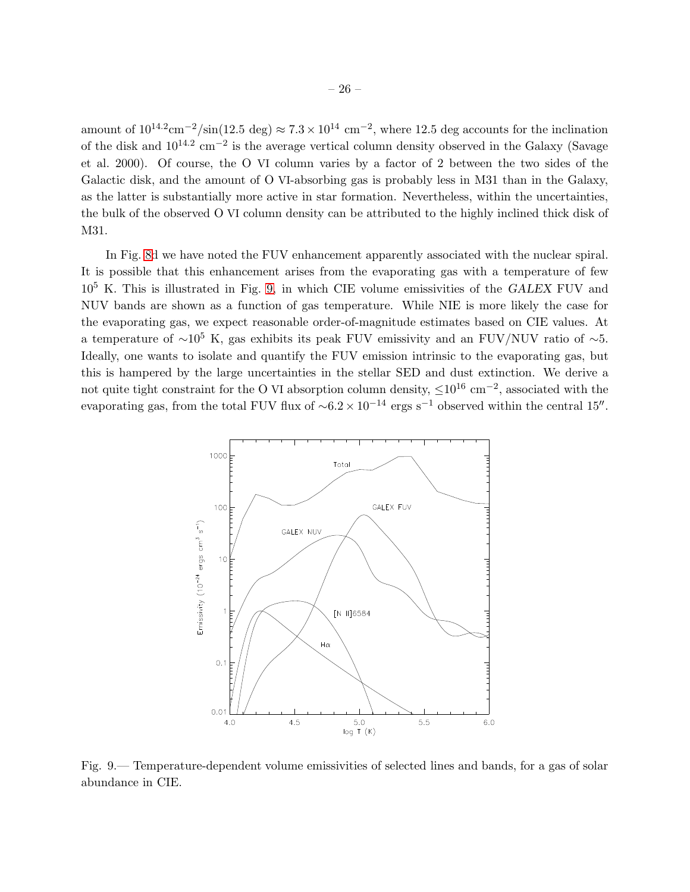amount of  $10^{14.2}$ cm<sup>-2</sup>/sin(12.5 deg)  $\approx 7.3 \times 10^{14}$  cm<sup>-2</sup>, where 12.5 deg accounts for the inclination of the disk and  $10^{14.2}$  cm<sup>-2</sup> is the average vertical column density observed in the Galaxy (Savage et al. 2000). Of course, the O VI column varies by a factor of 2 between the two sides of the Galactic disk, and the amount of O VI-absorbing gas is probably less in M31 than in the Galaxy, as the latter is substantially more active in star formation. Nevertheless, within the uncertainties, the bulk of the observed O VI column density can be attributed to the highly inclined thick disk of M31.

In Fig. [8d](#page-18-0) we have noted the FUV enhancement apparently associated with the nuclear spiral. It is possible that this enhancement arises from the evaporating gas with a temperature of few  $10<sup>5</sup>$  K. This is illustrated in Fig. [9,](#page-26-0) in which CIE volume emissivities of the GALEX FUV and NUV bands are shown as a function of gas temperature. While NIE is more likely the case for the evaporating gas, we expect reasonable order-of-magnitude estimates based on CIE values. At a temperature of  $\sim 10^5$  K, gas exhibits its peak FUV emissivity and an FUV/NUV ratio of  $\sim 5$ . Ideally, one wants to isolate and quantify the FUV emission intrinsic to the evaporating gas, but this is hampered by the large uncertainties in the stellar SED and dust extinction. We derive a not quite tight constraint for the O VI absorption column density,  $\leq 10^{16}$  cm<sup>-2</sup>, associated with the evaporating gas, from the total FUV flux of  $\sim 6.2 \times 10^{-14}$  ergs s<sup>-1</sup> observed within the central 15″.



<span id="page-26-0"></span>Fig. 9.— Temperature-dependent volume emissivities of selected lines and bands, for a gas of solar abundance in CIE.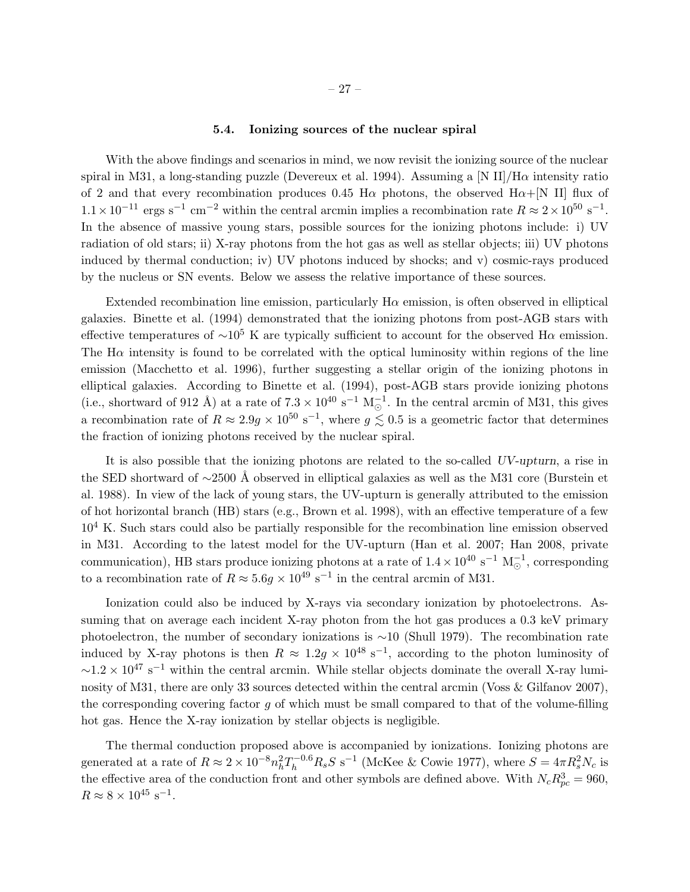### 5.4. Ionizing sources of the nuclear spiral

With the above findings and scenarios in mind, we now revisit the ionizing source of the nuclear spiral in M31, a long-standing puzzle (Devereux et al. 1994). Assuming a [N II]/H $\alpha$  intensity ratio of 2 and that every recombination produces 0.45 H $\alpha$  photons, the observed H $\alpha$ +[N II] flux of  $1.1 \times 10^{-11}$  ergs s<sup>-1</sup> cm<sup>-2</sup> within the central arcmin implies a recombination rate  $R \approx 2 \times 10^{50}$  s<sup>-1</sup>. In the absence of massive young stars, possible sources for the ionizing photons include: i) UV radiation of old stars; ii) X-ray photons from the hot gas as well as stellar objects; iii) UV photons induced by thermal conduction; iv) UV photons induced by shocks; and v) cosmic-rays produced by the nucleus or SN events. Below we assess the relative importance of these sources.

Extended recombination line emission, particularly  $H\alpha$  emission, is often observed in elliptical galaxies. Binette et al. (1994) demonstrated that the ionizing photons from post-AGB stars with effective temperatures of  $\sim 10^5$  K are typically sufficient to account for the observed H $\alpha$  emission. The  $H\alpha$  intensity is found to be correlated with the optical luminosity within regions of the line emission (Macchetto et al. 1996), further suggesting a stellar origin of the ionizing photons in elliptical galaxies. According to Binette et al. (1994), post-AGB stars provide ionizing photons (i.e., shortward of 912 Å) at a rate of  $7.3 \times 10^{40} \text{ s}^{-1} \text{ M}_{\odot}^{-1}$ . In the central arcmin of M31, this gives a recombination rate of  $R \approx 2.9g \times 10^{50} \text{ s}^{-1}$ , where  $g \lesssim 0.5$  is a geometric factor that determines the fraction of ionizing photons received by the nuclear spiral.

It is also possible that the ionizing photons are related to the so-called UV-upturn, a rise in the SED shortward of ∼2500 Å observed in elliptical galaxies as well as the M31 core (Burstein et al. 1988). In view of the lack of young stars, the UV-upturn is generally attributed to the emission of hot horizontal branch (HB) stars (e.g., Brown et al. 1998), with an effective temperature of a few  $10<sup>4</sup>$  K. Such stars could also be partially responsible for the recombination line emission observed in M31. According to the latest model for the UV-upturn (Han et al. 2007; Han 2008, private communication), HB stars produce ionizing photons at a rate of  $1.4 \times 10^{40} \text{ s}^{-1} \text{ M}_{\odot}^{-1}$ , corresponding to a recombination rate of  $R \approx 5.6g \times 10^{49} \text{ s}^{-1}$  in the central arcmin of M31.

Ionization could also be induced by X-rays via secondary ionization by photoelectrons. Assuming that on average each incident X-ray photon from the hot gas produces a 0.3 keV primary photoelectron, the number of secondary ionizations is ∼10 (Shull 1979). The recombination rate induced by X-ray photons is then  $R \approx 1.2g \times 10^{48} \text{ s}^{-1}$ , according to the photon luminosity of  $\sim$ 1.2 × 10<sup>47</sup> s<sup>-1</sup> within the central arcmin. While stellar objects dominate the overall X-ray luminosity of M31, there are only 33 sources detected within the central arcmin (Voss & Gilfanov 2007), the corresponding covering factor  $g$  of which must be small compared to that of the volume-filling hot gas. Hence the X-ray ionization by stellar objects is negligible.

The thermal conduction proposed above is accompanied by ionizations. Ionizing photons are generated at a rate of  $R \approx 2 \times 10^{-8} n_h^2 T_h^{-0.6} R_s S \text{ s}^{-1}$  (McKee & Cowie 1977), where  $S = 4 \pi R_s^2 N_c$  is the effective area of the conduction front and other symbols are defined above. With  $N_c R_{pc}^3 = 960$ ,  $R \approx 8 \times 10^{45} \text{ s}^{-1}.$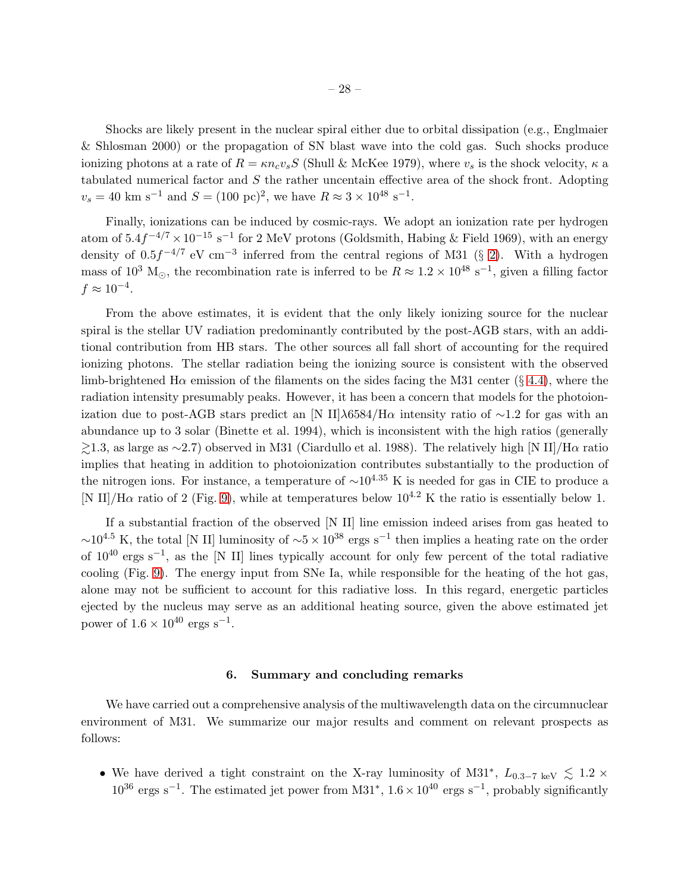Shocks are likely present in the nuclear spiral either due to orbital dissipation (e.g., Englmaier & Shlosman 2000) or the propagation of SN blast wave into the cold gas. Such shocks produce ionizing photons at a rate of  $R = \kappa n_c v_s S$  (Shull & McKee 1979), where  $v_s$  is the shock velocity,  $\kappa$  a tabulated numerical factor and  $S$  the rather uncentain effective area of the shock front. Adopting  $v_s = 40 \text{ km s}^{-1} \text{ and } S = (100 \text{ pc})^2$ , we have  $R \approx 3 \times 10^{48} \text{ s}^{-1}$ .

Finally, ionizations can be induced by cosmic-rays. We adopt an ionization rate per hydrogen atom of  $5.4f^{-4/7} \times 10^{-15}$  s<sup>-1</sup> for 2 MeV protons (Goldsmith, Habing & Field 1969), with an energy density of  $0.5f^{-4/7}$  eV cm<sup>-3</sup> inferred from the central regions of M31 (§ [2\)](#page-3-0). With a hydrogen mass of 10<sup>3</sup> M<sub>☉</sub>, the recombination rate is inferred to be  $R \approx 1.2 \times 10^{48} \text{ s}^{-1}$ , given a filling factor  $f \approx 10^{-4}$ .

From the above estimates, it is evident that the only likely ionizing source for the nuclear spiral is the stellar UV radiation predominantly contributed by the post-AGB stars, with an additional contribution from HB stars. The other sources all fall short of accounting for the required ionizing photons. The stellar radiation being the ionizing source is consistent with the observed limb-brightened H $\alpha$  emission of the filaments on the sides facing the M31 center (§ [4.4\)](#page-14-0), where the radiation intensity presumably peaks. However, it has been a concern that models for the photoionization due to post-AGB stars predict an [N II] $\lambda$ 6584/H $\alpha$  intensity ratio of ~1.2 for gas with an abundance up to 3 solar (Binette et al. 1994), which is inconsistent with the high ratios (generally  $\geq$ 1.3, as large as ∼2.7) observed in M31 (Ciardullo et al. 1988). The relatively high [N II]/Hα ratio implies that heating in addition to photoionization contributes substantially to the production of the nitrogen ions. For instance, a temperature of  $\sim 10^{4.35}$  K is needed for gas in CIE to produce a [N II]/H $\alpha$  ratio of 2 (Fig. [9\)](#page-26-0), while at temperatures below 10<sup>4.2</sup> K the ratio is essentially below 1.

If a substantial fraction of the observed [N II] line emission indeed arises from gas heated to  $\sim$ 10<sup>4.5</sup> K, the total [N II] luminosity of  $\sim$ 5 × 10<sup>38</sup> ergs s<sup>-1</sup> then implies a heating rate on the order of  $10^{40}$  ergs s<sup>-1</sup>, as the [N II] lines typically account for only few percent of the total radiative cooling (Fig. [9\)](#page-26-0). The energy input from SNe Ia, while responsible for the heating of the hot gas, alone may not be sufficient to account for this radiative loss. In this regard, energetic particles ejected by the nucleus may serve as an additional heating source, given the above estimated jet power of  $1.6 \times 10^{40}$  ergs s<sup>-1</sup>.

#### 6. Summary and concluding remarks

<span id="page-28-0"></span>We have carried out a comprehensive analysis of the multiwavelength data on the circumnuclear environment of M31. We summarize our major results and comment on relevant prospects as follows:

• We have derived a tight constraint on the X-ray luminosity of M31<sup>\*</sup>,  $L_{0.3-7 \text{ keV}} \lesssim 1.2 \times$  $10^{36}$  ergs s<sup>-1</sup>. The estimated jet power from M31<sup>\*</sup>,  $1.6 \times 10^{40}$  ergs s<sup>-1</sup>, probably significantly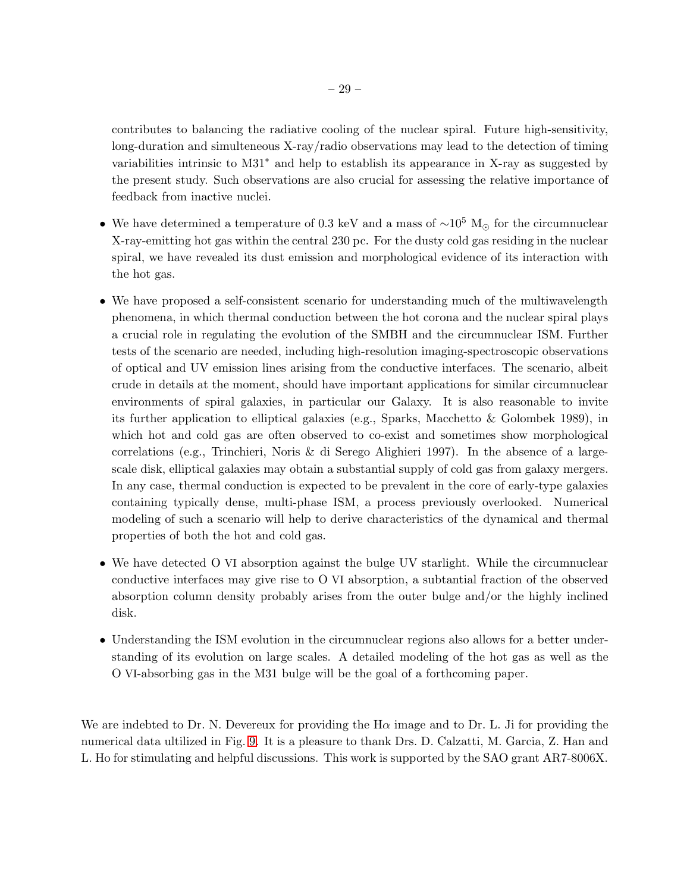contributes to balancing the radiative cooling of the nuclear spiral. Future high-sensitivity, long-duration and simulteneous X-ray/radio observations may lead to the detection of timing variabilities intrinsic to M31<sup>∗</sup> and help to establish its appearance in X-ray as suggested by the present study. Such observations are also crucial for assessing the relative importance of feedback from inactive nuclei.

- We have determined a temperature of 0.3 keV and a mass of  $\sim 10^5$  M<sub>☉</sub> for the circumnuclear X-ray-emitting hot gas within the central 230 pc. For the dusty cold gas residing in the nuclear spiral, we have revealed its dust emission and morphological evidence of its interaction with the hot gas.
- We have proposed a self-consistent scenario for understanding much of the multiwavelength phenomena, in which thermal conduction between the hot corona and the nuclear spiral plays a crucial role in regulating the evolution of the SMBH and the circumnuclear ISM. Further tests of the scenario are needed, including high-resolution imaging-spectroscopic observations of optical and UV emission lines arising from the conductive interfaces. The scenario, albeit crude in details at the moment, should have important applications for similar circumnuclear environments of spiral galaxies, in particular our Galaxy. It is also reasonable to invite its further application to elliptical galaxies (e.g., Sparks, Macchetto & Golombek 1989), in which hot and cold gas are often observed to co-exist and sometimes show morphological correlations (e.g., Trinchieri, Noris & di Serego Alighieri 1997). In the absence of a largescale disk, elliptical galaxies may obtain a substantial supply of cold gas from galaxy mergers. In any case, thermal conduction is expected to be prevalent in the core of early-type galaxies containing typically dense, multi-phase ISM, a process previously overlooked. Numerical modeling of such a scenario will help to derive characteristics of the dynamical and thermal properties of both the hot and cold gas.
- We have detected O VI absorption against the bulge UV starlight. While the circumnuclear conductive interfaces may give rise to O VI absorption, a subtantial fraction of the observed absorption column density probably arises from the outer bulge and/or the highly inclined disk.
- Understanding the ISM evolution in the circumnuclear regions also allows for a better understanding of its evolution on large scales. A detailed modeling of the hot gas as well as the O VI-absorbing gas in the M31 bulge will be the goal of a forthcoming paper.

We are indebted to Dr. N. Devereux for providing the  $H\alpha$  image and to Dr. L. Ji for providing the numerical data ultilized in Fig. [9.](#page-26-0) It is a pleasure to thank Drs. D. Calzatti, M. Garcia, Z. Han and L. Ho for stimulating and helpful discussions. This work is supported by the SAO grant AR7-8006X.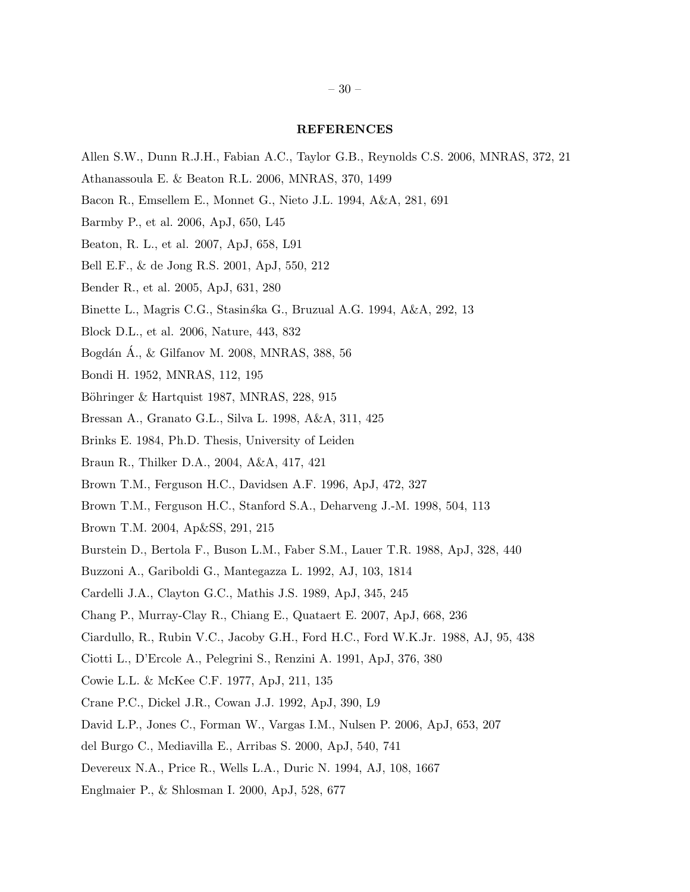### REFERENCES

- Allen S.W., Dunn R.J.H., Fabian A.C., Taylor G.B., Reynolds C.S. 2006, MNRAS, 372, 21
- Athanassoula E. & Beaton R.L. 2006, MNRAS, 370, 1499
- Bacon R., Emsellem E., Monnet G., Nieto J.L. 1994, A&A, 281, 691
- Barmby P., et al. 2006, ApJ, 650, L45
- Beaton, R. L., et al. 2007, ApJ, 658, L91
- Bell E.F., & de Jong R.S. 2001, ApJ, 550, 212
- Bender R., et al. 2005, ApJ, 631, 280
- Binette L., Magris C.G., Stasinska G., Bruzual A.G. 1994, A&A, 292, 13
- Block D.L., et al. 2006, Nature, 443, 832
- Bogdán Á., & Gilfanov M. 2008, MNRAS, 388, 56
- Bondi H. 1952, MNRAS, 112, 195
- Böhringer & Hartquist 1987, MNRAS, 228, 915
- Bressan A., Granato G.L., Silva L. 1998, A&A, 311, 425
- Brinks E. 1984, Ph.D. Thesis, University of Leiden
- Braun R., Thilker D.A., 2004, A&A, 417, 421
- Brown T.M., Ferguson H.C., Davidsen A.F. 1996, ApJ, 472, 327
- Brown T.M., Ferguson H.C., Stanford S.A., Deharveng J.-M. 1998, 504, 113
- Brown T.M. 2004, Ap&SS, 291, 215
- Burstein D., Bertola F., Buson L.M., Faber S.M., Lauer T.R. 1988, ApJ, 328, 440
- Buzzoni A., Gariboldi G., Mantegazza L. 1992, AJ, 103, 1814
- Cardelli J.A., Clayton G.C., Mathis J.S. 1989, ApJ, 345, 245
- Chang P., Murray-Clay R., Chiang E., Quataert E. 2007, ApJ, 668, 236
- Ciardullo, R., Rubin V.C., Jacoby G.H., Ford H.C., Ford W.K.Jr. 1988, AJ, 95, 438
- Ciotti L., D'Ercole A., Pelegrini S., Renzini A. 1991, ApJ, 376, 380
- Cowie L.L. & McKee C.F. 1977, ApJ, 211, 135
- Crane P.C., Dickel J.R., Cowan J.J. 1992, ApJ, 390, L9
- David L.P., Jones C., Forman W., Vargas I.M., Nulsen P. 2006, ApJ, 653, 207
- del Burgo C., Mediavilla E., Arribas S. 2000, ApJ, 540, 741
- Devereux N.A., Price R., Wells L.A., Duric N. 1994, AJ, 108, 1667
- Englmaier P., & Shlosman I. 2000, ApJ, 528, 677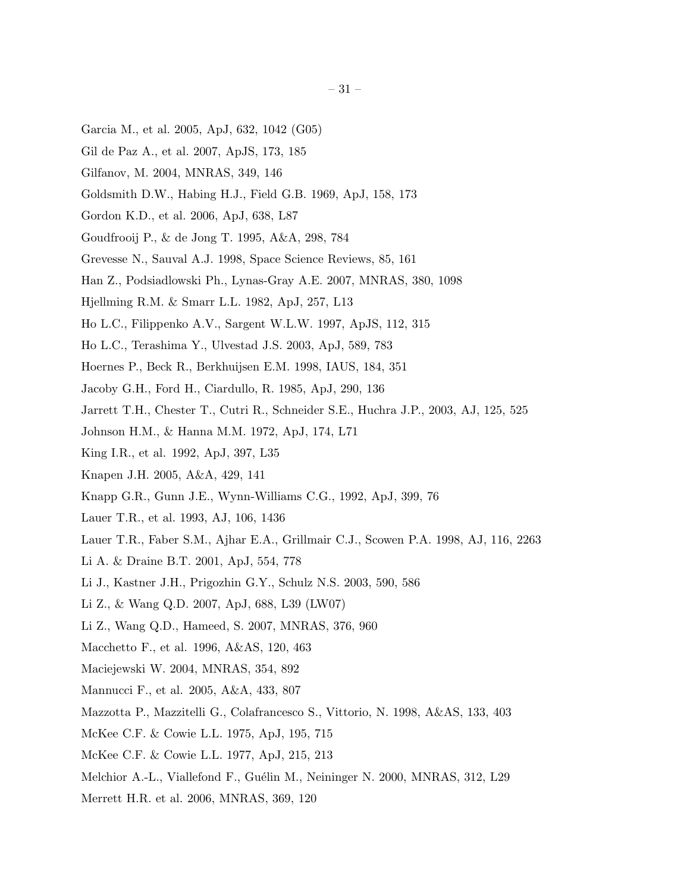- Garcia M., et al. 2005, ApJ, 632, 1042 (G05)
- Gil de Paz A., et al. 2007, ApJS, 173, 185
- Gilfanov, M. 2004, MNRAS, 349, 146
- Goldsmith D.W., Habing H.J., Field G.B. 1969, ApJ, 158, 173
- Gordon K.D., et al. 2006, ApJ, 638, L87
- Goudfrooij P., & de Jong T. 1995, A&A, 298, 784
- Grevesse N., Sauval A.J. 1998, Space Science Reviews, 85, 161
- Han Z., Podsiadlowski Ph., Lynas-Gray A.E. 2007, MNRAS, 380, 1098
- Hjellming R.M. & Smarr L.L. 1982, ApJ, 257, L13
- Ho L.C., Filippenko A.V., Sargent W.L.W. 1997, ApJS, 112, 315
- Ho L.C., Terashima Y., Ulvestad J.S. 2003, ApJ, 589, 783
- Hoernes P., Beck R., Berkhuijsen E.M. 1998, IAUS, 184, 351
- Jacoby G.H., Ford H., Ciardullo, R. 1985, ApJ, 290, 136
- Jarrett T.H., Chester T., Cutri R., Schneider S.E., Huchra J.P., 2003, AJ, 125, 525
- Johnson H.M., & Hanna M.M. 1972, ApJ, 174, L71
- King I.R., et al. 1992, ApJ, 397, L35
- Knapen J.H. 2005, A&A, 429, 141
- Knapp G.R., Gunn J.E., Wynn-Williams C.G., 1992, ApJ, 399, 76
- Lauer T.R., et al. 1993, AJ, 106, 1436
- Lauer T.R., Faber S.M., Ajhar E.A., Grillmair C.J., Scowen P.A. 1998, AJ, 116, 2263
- Li A. & Draine B.T. 2001, ApJ, 554, 778
- Li J., Kastner J.H., Prigozhin G.Y., Schulz N.S. 2003, 590, 586
- Li Z., & Wang Q.D. 2007, ApJ, 688, L39 (LW07)
- Li Z., Wang Q.D., Hameed, S. 2007, MNRAS, 376, 960
- Macchetto F., et al. 1996, A&AS, 120, 463
- Maciejewski W. 2004, MNRAS, 354, 892
- Mannucci F., et al. 2005, A&A, 433, 807
- Mazzotta P., Mazzitelli G., Colafrancesco S., Vittorio, N. 1998, A&AS, 133, 403
- McKee C.F. & Cowie L.L. 1975, ApJ, 195, 715
- McKee C.F. & Cowie L.L. 1977, ApJ, 215, 213
- Melchior A.-L., Viallefond F., Guélin M., Neininger N. 2000, MNRAS, 312, L29
- Merrett H.R. et al. 2006, MNRAS, 369, 120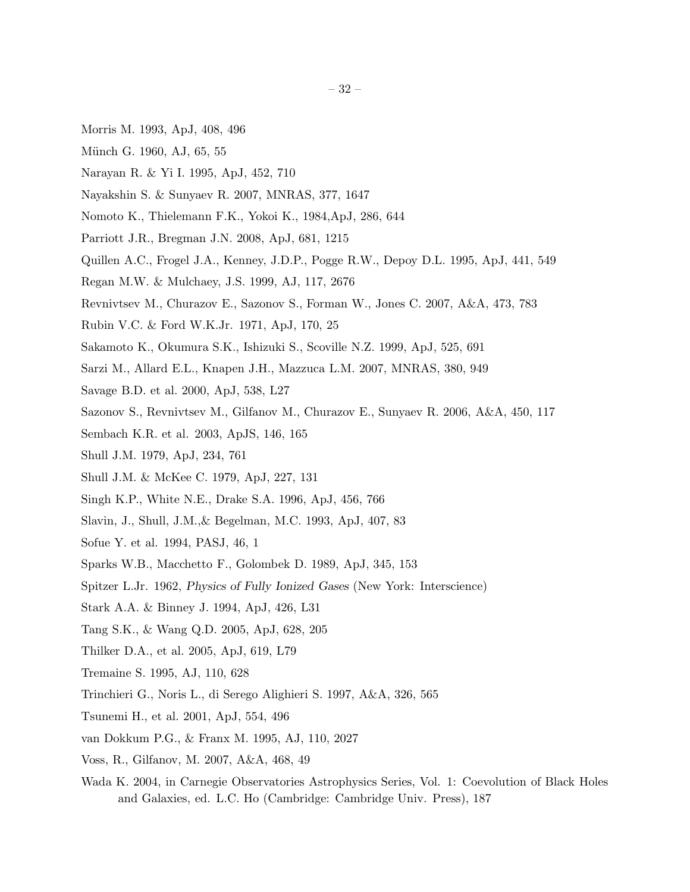- Morris M. 1993, ApJ, 408, 496
- Münch G. 1960, AJ, 65, 55
- Narayan R. & Yi I. 1995, ApJ, 452, 710
- Nayakshin S. & Sunyaev R. 2007, MNRAS, 377, 1647
- Nomoto K., Thielemann F.K., Yokoi K., 1984,ApJ, 286, 644
- Parriott J.R., Bregman J.N. 2008, ApJ, 681, 1215
- Quillen A.C., Frogel J.A., Kenney, J.D.P., Pogge R.W., Depoy D.L. 1995, ApJ, 441, 549
- Regan M.W. & Mulchaey, J.S. 1999, AJ, 117, 2676
- Revnivtsev M., Churazov E., Sazonov S., Forman W., Jones C. 2007, A&A, 473, 783
- Rubin V.C. & Ford W.K.Jr. 1971, ApJ, 170, 25
- Sakamoto K., Okumura S.K., Ishizuki S., Scoville N.Z. 1999, ApJ, 525, 691
- Sarzi M., Allard E.L., Knapen J.H., Mazzuca L.M. 2007, MNRAS, 380, 949
- Savage B.D. et al. 2000, ApJ, 538, L27
- Sazonov S., Revnivtsev M., Gilfanov M., Churazov E., Sunyaev R. 2006, A&A, 450, 117
- Sembach K.R. et al. 2003, ApJS, 146, 165
- Shull J.M. 1979, ApJ, 234, 761
- Shull J.M. & McKee C. 1979, ApJ, 227, 131
- Singh K.P., White N.E., Drake S.A. 1996, ApJ, 456, 766
- Slavin, J., Shull, J.M.,& Begelman, M.C. 1993, ApJ, 407, 83
- Sofue Y. et al. 1994, PASJ, 46, 1
- Sparks W.B., Macchetto F., Golombek D. 1989, ApJ, 345, 153
- Spitzer L.Jr. 1962, Physics of Fully Ionized Gases (New York: Interscience)
- Stark A.A. & Binney J. 1994, ApJ, 426, L31
- Tang S.K., & Wang Q.D. 2005, ApJ, 628, 205
- Thilker D.A., et al. 2005, ApJ, 619, L79
- Tremaine S. 1995, AJ, 110, 628
- Trinchieri G., Noris L., di Serego Alighieri S. 1997, A&A, 326, 565
- Tsunemi H., et al. 2001, ApJ, 554, 496
- van Dokkum P.G., & Franx M. 1995, AJ, 110, 2027
- Voss, R., Gilfanov, M. 2007, A&A, 468, 49
- Wada K. 2004, in Carnegie Observatories Astrophysics Series, Vol. 1: Coevolution of Black Holes and Galaxies, ed. L.C. Ho (Cambridge: Cambridge Univ. Press), 187